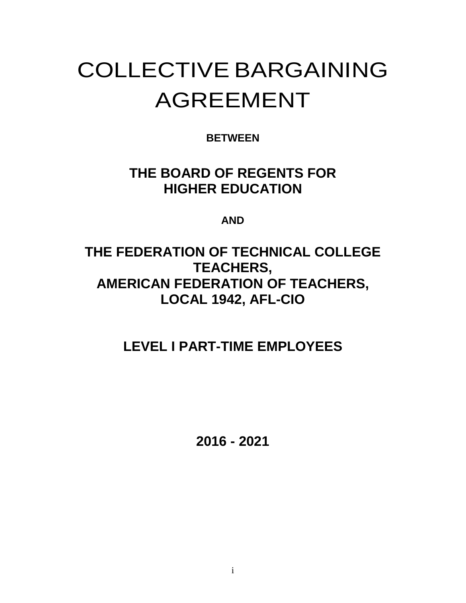# COLLECTIVE BARGAINING AGREEMENT

# **BETWEEN**

# **THE BOARD OF REGENTS FOR HIGHER EDUCATION**

**AND**

# **THE FEDERATION OF TECHNICAL COLLEGE TEACHERS, AMERICAN FEDERATION OF TEACHERS, LOCAL 1942, AFL-CIO**

# **LEVEL I PART-TIME EMPLOYEES**

**2016 - 2021**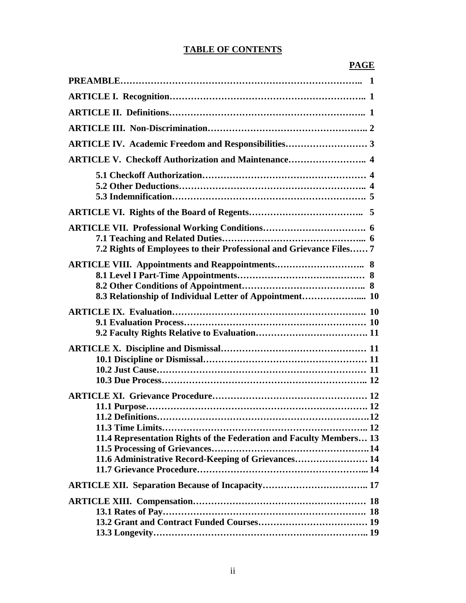#### **TABLE OF CONTENTS**

## **PAGE**

| <b>ARTICLE V. Checkoff Authorization and Maintenance 4</b>                                                                 |  |
|----------------------------------------------------------------------------------------------------------------------------|--|
|                                                                                                                            |  |
|                                                                                                                            |  |
| 7.2 Rights of Employees to their Professional and Grievance Files 7                                                        |  |
|                                                                                                                            |  |
|                                                                                                                            |  |
|                                                                                                                            |  |
| 11.4 Representation Rights of the Federation and Faculty Members 13<br>11.6 Administrative Record-Keeping of Grievances 14 |  |
|                                                                                                                            |  |
|                                                                                                                            |  |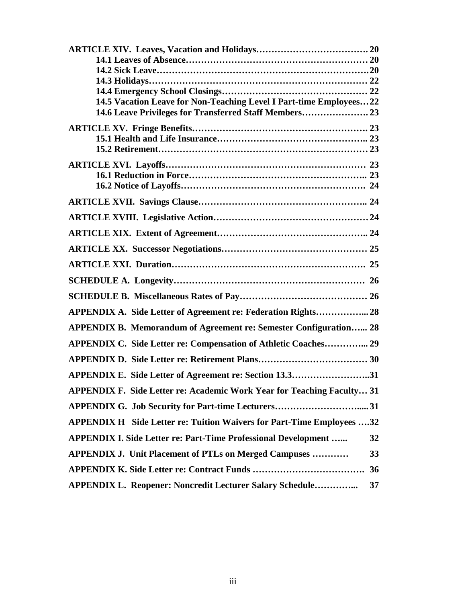| 14.5 Vacation Leave for Non-Teaching Level I Part-time Employees 22           |    |
|-------------------------------------------------------------------------------|----|
| 14.6 Leave Privileges for Transferred Staff Members 23                        |    |
|                                                                               |    |
|                                                                               |    |
|                                                                               |    |
|                                                                               |    |
|                                                                               |    |
|                                                                               |    |
|                                                                               |    |
|                                                                               |    |
|                                                                               |    |
|                                                                               |    |
|                                                                               |    |
|                                                                               |    |
|                                                                               |    |
| APPENDIX A. Side Letter of Agreement re: Federation Rights 28                 |    |
| <b>APPENDIX B. Memorandum of Agreement re: Semester Configuration 28</b>      |    |
| APPENDIX C. Side Letter re: Compensation of Athletic Coaches 29               |    |
|                                                                               |    |
| APPENDIX E. Side Letter of Agreement re: Section 13.331                       |    |
| <b>APPENDIX F. Side Letter re: Academic Work Year for Teaching Faculty 31</b> |    |
|                                                                               |    |
| <b>APPENDIX H</b> Side Letter re: Tuition Waivers for Part-Time Employees 32  |    |
| <b>APPENDIX I. Side Letter re: Part-Time Professional Development </b>        | 32 |
| <b>APPENDIX J. Unit Placement of PTLs on Merged Campuses </b>                 | 33 |
|                                                                               | 36 |
| <b>APPENDIX L. Reopener: Noncredit Lecturer Salary Schedule</b>               | 37 |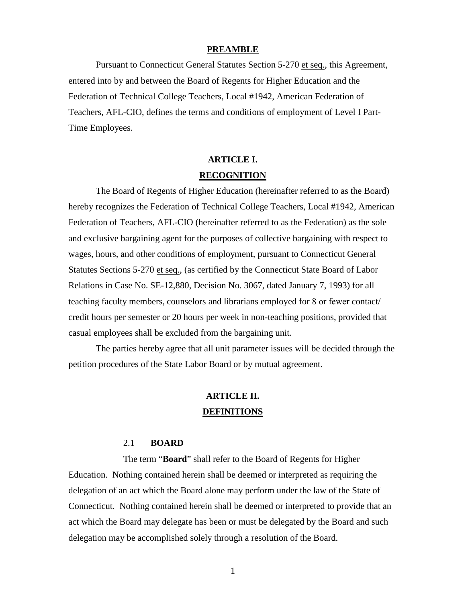#### **PREAMBLE**

Pursuant to Connecticut General Statutes Section 5-270 et seq., this Agreement, entered into by and between the Board of Regents for Higher Education and the Federation of Technical College Teachers, Local #1942, American Federation of Teachers, AFL-CIO, defines the terms and conditions of employment of Level I Part-Time Employees.

# **ARTICLE I. RECOGNITION**

The Board of Regents of Higher Education (hereinafter referred to as the Board) hereby recognizes the Federation of Technical College Teachers, Local #1942, American Federation of Teachers, AFL-CIO (hereinafter referred to as the Federation) as the sole and exclusive bargaining agent for the purposes of collective bargaining with respect to wages, hours, and other conditions of employment, pursuant to Connecticut General Statutes Sections 5-270 et seq., (as certified by the Connecticut State Board of Labor Relations in Case No. SE-12,880, Decision No. 3067, dated January 7, 1993) for all teaching faculty members, counselors and librarians employed for 8 or fewer contact/ credit hours per semester or 20 hours per week in non-teaching positions, provided that casual employees shall be excluded from the bargaining unit.

The parties hereby agree that all unit parameter issues will be decided through the petition procedures of the State Labor Board or by mutual agreement.

# **ARTICLE II. DEFINITIONS**

#### 2.1 **BOARD**

The term "**Board**" shall refer to the Board of Regents for Higher Education. Nothing contained herein shall be deemed or interpreted as requiring the delegation of an act which the Board alone may perform under the law of the State of Connecticut. Nothing contained herein shall be deemed or interpreted to provide that an act which the Board may delegate has been or must be delegated by the Board and such delegation may be accomplished solely through a resolution of the Board.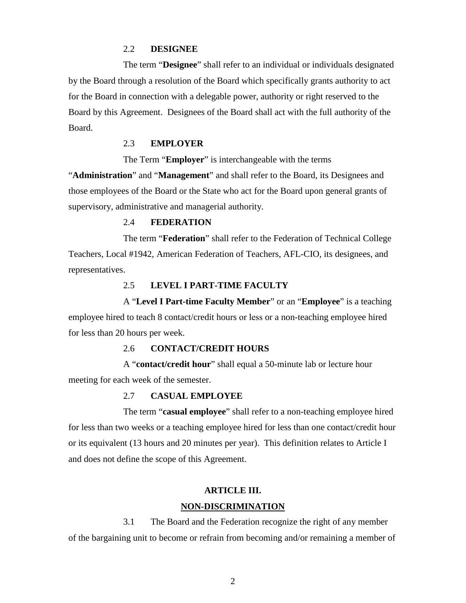#### 2.2 **DESIGNEE**

The term "**Designee**" shall refer to an individual or individuals designated by the Board through a resolution of the Board which specifically grants authority to act for the Board in connection with a delegable power, authority or right reserved to the Board by this Agreement. Designees of the Board shall act with the full authority of the Board.

#### 2.3 **EMPLOYER**

The Term "**Employer**" is interchangeable with the terms

"**Administration**" and "**Management**" and shall refer to the Board, its Designees and those employees of the Board or the State who act for the Board upon general grants of supervisory, administrative and managerial authority.

#### 2.4 **FEDERATION**

The term "**Federation**" shall refer to the Federation of Technical College Teachers, Local #1942, American Federation of Teachers, AFL-CIO, its designees, and representatives.

#### 2.5 **LEVEL I PART-TIME FACULTY**

A "**Level I Part-time Faculty Member**" or an "**Employee**" is a teaching employee hired to teach 8 contact/credit hours or less or a non-teaching employee hired for less than 20 hours per week.

#### 2.6 **CONTACT/CREDIT HOURS**

A "**contact/credit hour**" shall equal a 50-minute lab or lecture hour meeting for each week of the semester.

#### 2.7 **CASUAL EMPLOYEE**

The term "**casual employee**" shall refer to a non-teaching employee hired for less than two weeks or a teaching employee hired for less than one contact/credit hour or its equivalent (13 hours and 20 minutes per year). This definition relates to Article I and does not define the scope of this Agreement.

#### **ARTICLE III.**

#### **NON-DISCRIMINATION**

3.1 The Board and the Federation recognize the right of any member of the bargaining unit to become or refrain from becoming and/or remaining a member of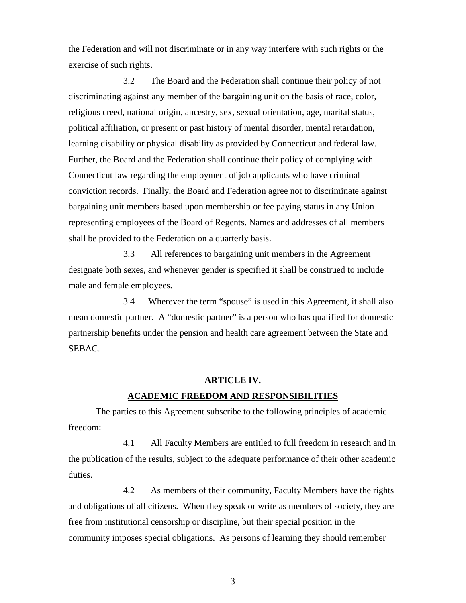the Federation and will not discriminate or in any way interfere with such rights or the exercise of such rights.

3.2 The Board and the Federation shall continue their policy of not discriminating against any member of the bargaining unit on the basis of race, color, religious creed, national origin, ancestry, sex, sexual orientation, age, marital status, political affiliation, or present or past history of mental disorder, mental retardation, learning disability or physical disability as provided by Connecticut and federal law. Further, the Board and the Federation shall continue their policy of complying with Connecticut law regarding the employment of job applicants who have criminal conviction records. Finally, the Board and Federation agree not to discriminate against bargaining unit members based upon membership or fee paying status in any Union representing employees of the Board of Regents. Names and addresses of all members shall be provided to the Federation on a quarterly basis.

3.3 All references to bargaining unit members in the Agreement designate both sexes, and whenever gender is specified it shall be construed to include male and female employees.

3.4 Wherever the term "spouse" is used in this Agreement, it shall also mean domestic partner. A "domestic partner" is a person who has qualified for domestic partnership benefits under the pension and health care agreement between the State and SEBAC.

#### **ARTICLE IV.**

#### **ACADEMIC FREEDOM AND RESPONSIBILITIES**

The parties to this Agreement subscribe to the following principles of academic freedom:

4.1 All Faculty Members are entitled to full freedom in research and in the publication of the results, subject to the adequate performance of their other academic duties.

4.2 As members of their community, Faculty Members have the rights and obligations of all citizens. When they speak or write as members of society, they are free from institutional censorship or discipline, but their special position in the community imposes special obligations. As persons of learning they should remember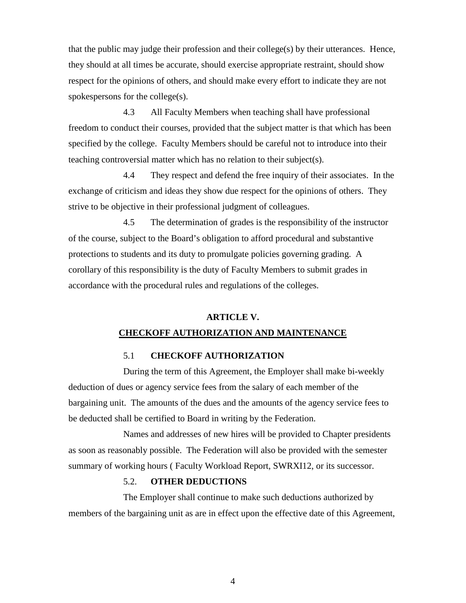that the public may judge their profession and their college(s) by their utterances. Hence, they should at all times be accurate, should exercise appropriate restraint, should show respect for the opinions of others, and should make every effort to indicate they are not spokespersons for the college(s).

4.3 All Faculty Members when teaching shall have professional freedom to conduct their courses, provided that the subject matter is that which has been specified by the college. Faculty Members should be careful not to introduce into their teaching controversial matter which has no relation to their subject(s).

4.4 They respect and defend the free inquiry of their associates. In the exchange of criticism and ideas they show due respect for the opinions of others. They strive to be objective in their professional judgment of colleagues.

4.5 The determination of grades is the responsibility of the instructor of the course, subject to the Board's obligation to afford procedural and substantive protections to students and its duty to promulgate policies governing grading. A corollary of this responsibility is the duty of Faculty Members to submit grades in accordance with the procedural rules and regulations of the colleges.

# **ARTICLE V. CHECKOFF AUTHORIZATION AND MAINTENANCE**

#### 5.1 **CHECKOFF AUTHORIZATION**

During the term of this Agreement, the Employer shall make bi-weekly deduction of dues or agency service fees from the salary of each member of the bargaining unit. The amounts of the dues and the amounts of the agency service fees to be deducted shall be certified to Board in writing by the Federation.

Names and addresses of new hires will be provided to Chapter presidents as soon as reasonably possible. The Federation will also be provided with the semester summary of working hours ( Faculty Workload Report, SWRXI12, or its successor.

#### 5.2. **OTHER DEDUCTIONS**

The Employer shall continue to make such deductions authorized by members of the bargaining unit as are in effect upon the effective date of this Agreement,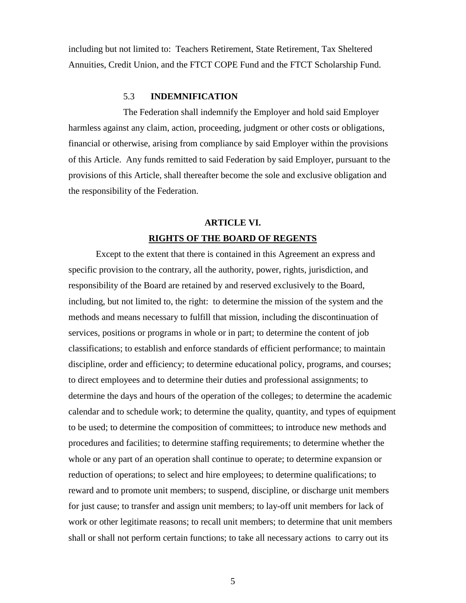including but not limited to: Teachers Retirement, State Retirement, Tax Sheltered Annuities, Credit Union, and the FTCT COPE Fund and the FTCT Scholarship Fund.

#### 5.3 **INDEMNIFICATION**

The Federation shall indemnify the Employer and hold said Employer harmless against any claim, action, proceeding, judgment or other costs or obligations, financial or otherwise, arising from compliance by said Employer within the provisions of this Article. Any funds remitted to said Federation by said Employer, pursuant to the provisions of this Article, shall thereafter become the sole and exclusive obligation and the responsibility of the Federation.

# **ARTICLE VI. RIGHTS OF THE BOARD OF REGENTS**

Except to the extent that there is contained in this Agreement an express and specific provision to the contrary, all the authority, power, rights, jurisdiction, and responsibility of the Board are retained by and reserved exclusively to the Board, including, but not limited to, the right: to determine the mission of the system and the methods and means necessary to fulfill that mission, including the discontinuation of services, positions or programs in whole or in part; to determine the content of job classifications; to establish and enforce standards of efficient performance; to maintain discipline, order and efficiency; to determine educational policy, programs, and courses; to direct employees and to determine their duties and professional assignments; to determine the days and hours of the operation of the colleges; to determine the academic calendar and to schedule work; to determine the quality, quantity, and types of equipment to be used; to determine the composition of committees; to introduce new methods and procedures and facilities; to determine staffing requirements; to determine whether the whole or any part of an operation shall continue to operate; to determine expansion or reduction of operations; to select and hire employees; to determine qualifications; to reward and to promote unit members; to suspend, discipline, or discharge unit members for just cause; to transfer and assign unit members; to lay-off unit members for lack of work or other legitimate reasons; to recall unit members; to determine that unit members shall or shall not perform certain functions; to take all necessary actions to carry out its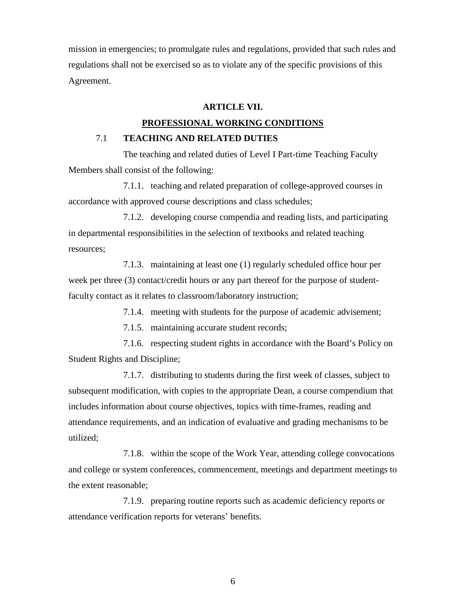mission in emergencies; to promulgate rules and regulations, provided that such rules and regulations shall not be exercised so as to violate any of the specific provisions of this Agreement.

#### **ARTICLE VII.**

#### **PROFESSIONAL WORKING CONDITIONS**

#### 7.1 **TEACHING AND RELATED DUTIES**

The teaching and related duties of Level I Part-time Teaching Faculty Members shall consist of the following:

7.1.1. teaching and related preparation of college-approved courses in accordance with approved course descriptions and class schedules;

7.1.2. developing course compendia and reading lists, and participating in departmental responsibilities in the selection of textbooks and related teaching resources;

7.1.3. maintaining at least one (1) regularly scheduled office hour per week per three (3) contact/credit hours or any part thereof for the purpose of studentfaculty contact as it relates to classroom/laboratory instruction;

7.1.4. meeting with students for the purpose of academic advisement;

7.1.5. maintaining accurate student records;

7.1.6. respecting student rights in accordance with the Board's Policy on Student Rights and Discipline;

7.1.7. distributing to students during the first week of classes, subject to subsequent modification, with copies to the appropriate Dean, a course compendium that includes information about course objectives, topics with time-frames, reading and attendance requirements, and an indication of evaluative and grading mechanisms to be utilized;

7.1.8. within the scope of the Work Year, attending college convocations and college or system conferences, commencement, meetings and department meetings to the extent reasonable;

7.1.9. preparing routine reports such as academic deficiency reports or attendance verification reports for veterans' benefits.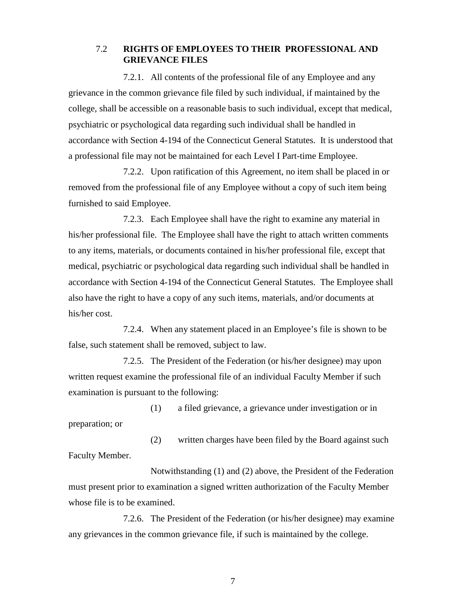#### 7.2 **RIGHTS OF EMPLOYEES TO THEIR PROFESSIONAL AND GRIEVANCE FILES**

7.2.1. All contents of the professional file of any Employee and any grievance in the common grievance file filed by such individual, if maintained by the college, shall be accessible on a reasonable basis to such individual, except that medical, psychiatric or psychological data regarding such individual shall be handled in accordance with Section 4-194 of the Connecticut General Statutes. It is understood that a professional file may not be maintained for each Level I Part-time Employee.

7.2.2. Upon ratification of this Agreement, no item shall be placed in or removed from the professional file of any Employee without a copy of such item being furnished to said Employee.

7.2.3. Each Employee shall have the right to examine any material in his/her professional file. The Employee shall have the right to attach written comments to any items, materials, or documents contained in his/her professional file, except that medical, psychiatric or psychological data regarding such individual shall be handled in accordance with Section 4-194 of the Connecticut General Statutes. The Employee shall also have the right to have a copy of any such items, materials, and/or documents at his/her cost.

7.2.4. When any statement placed in an Employee's file is shown to be false, such statement shall be removed, subject to law.

7.2.5. The President of the Federation (or his/her designee) may upon written request examine the professional file of an individual Faculty Member if such examination is pursuant to the following:

(1) a filed grievance, a grievance under investigation or in preparation; or

(2) written charges have been filed by the Board against such Faculty Member.

Notwithstanding (1) and (2) above, the President of the Federation must present prior to examination a signed written authorization of the Faculty Member whose file is to be examined.

7.2.6. The President of the Federation (or his/her designee) may examine any grievances in the common grievance file, if such is maintained by the college.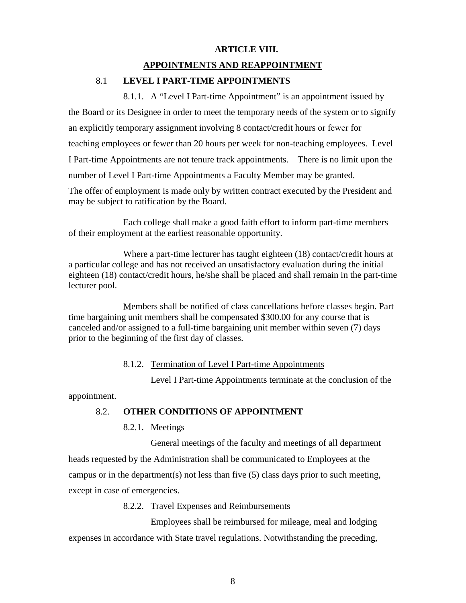#### **ARTICLE VIII.**

#### **APPOINTMENTS AND REAPPOINTMENT**

#### 8.1 **LEVEL I PART-TIME APPOINTMENTS**

8.1.1. A "Level I Part-time Appointment" is an appointment issued by the Board or its Designee in order to meet the temporary needs of the system or to signify an explicitly temporary assignment involving 8 contact/credit hours or fewer for teaching employees or fewer than 20 hours per week for non-teaching employees. Level I Part-time Appointments are not tenure track appointments. There is no limit upon the number of Level I Part-time Appointments a Faculty Member may be granted.

The offer of employment is made only by written contract executed by the President and may be subject to ratification by the Board.

Each college shall make a good faith effort to inform part-time members of their employment at the earliest reasonable opportunity.

Where a part-time lecturer has taught eighteen (18) contact/credit hours at a particular college and has not received an unsatisfactory evaluation during the initial eighteen (18) contact/credit hours, he/she shall be placed and shall remain in the part-time lecturer pool.

Members shall be notified of class cancellations before classes begin. Part time bargaining unit members shall be compensated \$300.00 for any course that is canceled and/or assigned to a full-time bargaining unit member within seven (7) days prior to the beginning of the first day of classes.

#### 8.1.2. Termination of Level I Part-time Appointments

Level I Part-time Appointments terminate at the conclusion of the

appointment.

#### 8.2. **OTHER CONDITIONS OF APPOINTMENT**

8.2.1. Meetings

General meetings of the faculty and meetings of all department heads requested by the Administration shall be communicated to Employees at the campus or in the department(s) not less than five (5) class days prior to such meeting, except in case of emergencies.

8.2.2. Travel Expenses and Reimbursements

Employees shall be reimbursed for mileage, meal and lodging expenses in accordance with State travel regulations. Notwithstanding the preceding,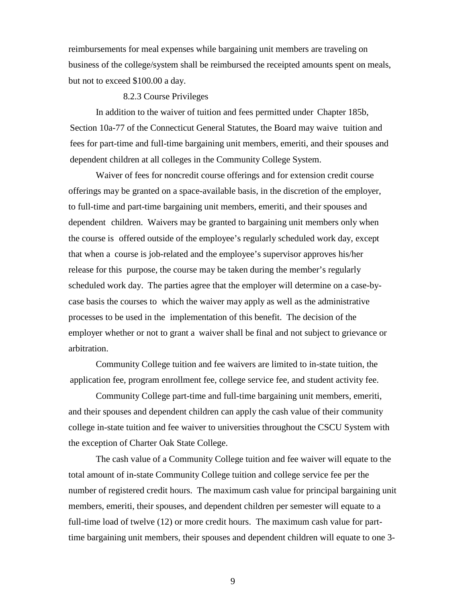reimbursements for meal expenses while bargaining unit members are traveling on business of the college/system shall be reimbursed the receipted amounts spent on meals, but not to exceed \$100.00 a day.

#### 8.2.3 Course Privileges

In addition to the waiver of tuition and fees permitted under Chapter 185b, Section 10a-77 of the Connecticut General Statutes, the Board may waive tuition and fees for part-time and full-time bargaining unit members, emeriti, and their spouses and dependent children at all colleges in the Community College System.

Waiver of fees for noncredit course offerings and for extension credit course offerings may be granted on a space-available basis, in the discretion of the employer, to full-time and part-time bargaining unit members, emeriti, and their spouses and dependent children. Waivers may be granted to bargaining unit members only when the course is offered outside of the employee's regularly scheduled work day, except that when a course is job-related and the employee's supervisor approves his/her release for this purpose, the course may be taken during the member's regularly scheduled work day. The parties agree that the employer will determine on a case-bycase basis the courses to which the waiver may apply as well as the administrative processes to be used in the implementation of this benefit. The decision of the employer whether or not to grant a waiver shall be final and not subject to grievance or arbitration.

Community College tuition and fee waivers are limited to in-state tuition, the application fee, program enrollment fee, college service fee, and student activity fee.

Community College part-time and full-time bargaining unit members, emeriti, and their spouses and dependent children can apply the cash value of their community college in-state tuition and fee waiver to universities throughout the CSCU System with the exception of Charter Oak State College.

The cash value of a Community College tuition and fee waiver will equate to the total amount of in-state Community College tuition and college service fee per the number of registered credit hours. The maximum cash value for principal bargaining unit members, emeriti, their spouses, and dependent children per semester will equate to a full-time load of twelve (12) or more credit hours. The maximum cash value for parttime bargaining unit members, their spouses and dependent children will equate to one 3-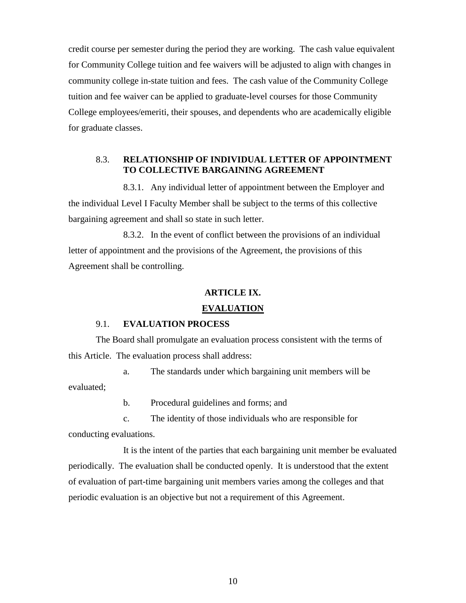credit course per semester during the period they are working. The cash value equivalent for Community College tuition and fee waivers will be adjusted to align with changes in community college in-state tuition and fees. The cash value of the Community College tuition and fee waiver can be applied to graduate-level courses for those Community College employees/emeriti, their spouses, and dependents who are academically eligible for graduate classes.

#### 8.3. **RELATIONSHIP OF INDIVIDUAL LETTER OF APPOINTMENT TO COLLECTIVE BARGAINING AGREEMENT**

8.3.1. Any individual letter of appointment between the Employer and the individual Level I Faculty Member shall be subject to the terms of this collective bargaining agreement and shall so state in such letter.

8.3.2. In the event of conflict between the provisions of an individual letter of appointment and the provisions of the Agreement, the provisions of this Agreement shall be controlling.

#### **ARTICLE IX.**

#### **EVALUATION**

#### 9.1. **EVALUATION PROCESS**

The Board shall promulgate an evaluation process consistent with the terms of this Article. The evaluation process shall address:

- a. The standards under which bargaining unit members will be evaluated;
	- b. Procedural guidelines and forms; and

c. The identity of those individuals who are responsible for conducting evaluations.

It is the intent of the parties that each bargaining unit member be evaluated periodically. The evaluation shall be conducted openly. It is understood that the extent of evaluation of part-time bargaining unit members varies among the colleges and that periodic evaluation is an objective but not a requirement of this Agreement.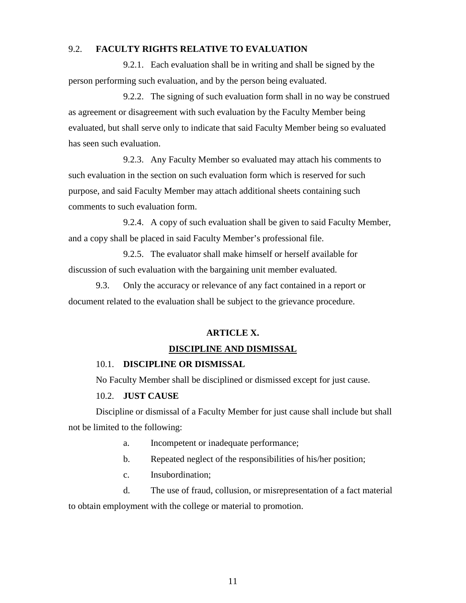#### 9.2. **FACULTY RIGHTS RELATIVE TO EVALUATION**

9.2.1. Each evaluation shall be in writing and shall be signed by the person performing such evaluation, and by the person being evaluated.

9.2.2. The signing of such evaluation form shall in no way be construed as agreement or disagreement with such evaluation by the Faculty Member being evaluated, but shall serve only to indicate that said Faculty Member being so evaluated has seen such evaluation.

9.2.3. Any Faculty Member so evaluated may attach his comments to such evaluation in the section on such evaluation form which is reserved for such purpose, and said Faculty Member may attach additional sheets containing such comments to such evaluation form.

9.2.4. A copy of such evaluation shall be given to said Faculty Member, and a copy shall be placed in said Faculty Member's professional file.

9.2.5. The evaluator shall make himself or herself available for discussion of such evaluation with the bargaining unit member evaluated.

9.3. Only the accuracy or relevance of any fact contained in a report or document related to the evaluation shall be subject to the grievance procedure.

#### **ARTICLE X.**

#### **DISCIPLINE AND DISMISSAL**

#### 10.1. **DISCIPLINE OR DISMISSAL**

No Faculty Member shall be disciplined or dismissed except for just cause.

#### 10.2. **JUST CAUSE**

Discipline or dismissal of a Faculty Member for just cause shall include but shall not be limited to the following:

- a. Incompetent or inadequate performance;
- b. Repeated neglect of the responsibilities of his/her position;
- c. Insubordination;

d. The use of fraud, collusion, or misrepresentation of a fact material to obtain employment with the college or material to promotion.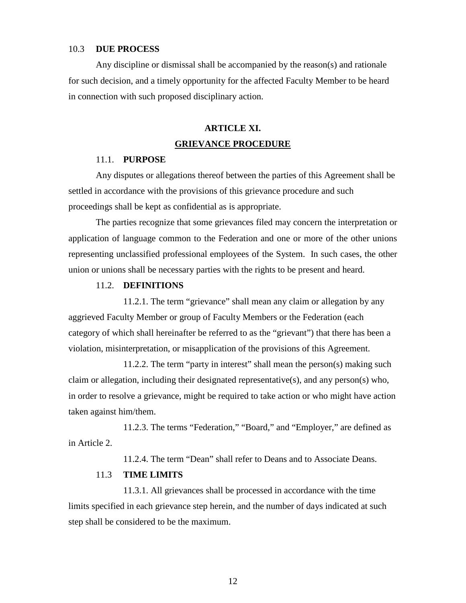#### 10.3 **DUE PROCESS**

Any discipline or dismissal shall be accompanied by the reason(s) and rationale for such decision, and a timely opportunity for the affected Faculty Member to be heard in connection with such proposed disciplinary action.

# **ARTICLE XI. GRIEVANCE PROCEDURE**

#### 11.1. **PURPOSE**

Any disputes or allegations thereof between the parties of this Agreement shall be settled in accordance with the provisions of this grievance procedure and such proceedings shall be kept as confidential as is appropriate.

The parties recognize that some grievances filed may concern the interpretation or application of language common to the Federation and one or more of the other unions representing unclassified professional employees of the System. In such cases, the other union or unions shall be necessary parties with the rights to be present and heard.

#### 11.2. **DEFINITIONS**

11.2.1. The term "grievance" shall mean any claim or allegation by any aggrieved Faculty Member or group of Faculty Members or the Federation (each category of which shall hereinafter be referred to as the "grievant") that there has been a violation, misinterpretation, or misapplication of the provisions of this Agreement.

11.2.2. The term "party in interest" shall mean the person(s) making such claim or allegation, including their designated representative(s), and any person(s) who, in order to resolve a grievance, might be required to take action or who might have action taken against him/them.

11.2.3. The terms "Federation," "Board," and "Employer," are defined as in Article 2.

11.2.4. The term "Dean" shall refer to Deans and to Associate Deans.

#### 11.3 **TIME LIMITS**

11.3.1. All grievances shall be processed in accordance with the time limits specified in each grievance step herein, and the number of days indicated at such step shall be considered to be the maximum.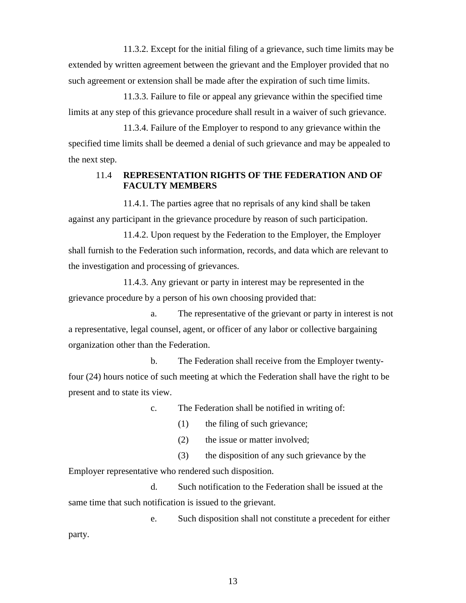11.3.2. Except for the initial filing of a grievance, such time limits may be extended by written agreement between the grievant and the Employer provided that no such agreement or extension shall be made after the expiration of such time limits.

11.3.3. Failure to file or appeal any grievance within the specified time limits at any step of this grievance procedure shall result in a waiver of such grievance.

11.3.4. Failure of the Employer to respond to any grievance within the specified time limits shall be deemed a denial of such grievance and may be appealed to the next step.

#### 11.4 **REPRESENTATION RIGHTS OF THE FEDERATION AND OF FACULTY MEMBERS**

11.4.1. The parties agree that no reprisals of any kind shall be taken against any participant in the grievance procedure by reason of such participation.

11.4.2. Upon request by the Federation to the Employer, the Employer shall furnish to the Federation such information, records, and data which are relevant to the investigation and processing of grievances.

11.4.3. Any grievant or party in interest may be represented in the grievance procedure by a person of his own choosing provided that:

a. The representative of the grievant or party in interest is not a representative, legal counsel, agent, or officer of any labor or collective bargaining organization other than the Federation.

b. The Federation shall receive from the Employer twentyfour (24) hours notice of such meeting at which the Federation shall have the right to be present and to state its view.

c. The Federation shall be notified in writing of:

(1) the filing of such grievance;

(2) the issue or matter involved;

(3) the disposition of any such grievance by the

Employer representative who rendered such disposition.

d. Such notification to the Federation shall be issued at the same time that such notification is issued to the grievant.

e. Such disposition shall not constitute a precedent for either party.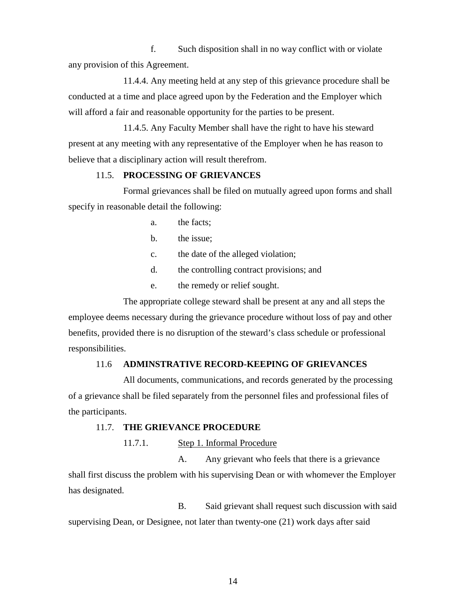f. Such disposition shall in no way conflict with or violate any provision of this Agreement.

11.4.4. Any meeting held at any step of this grievance procedure shall be conducted at a time and place agreed upon by the Federation and the Employer which will afford a fair and reasonable opportunity for the parties to be present.

11.4.5. Any Faculty Member shall have the right to have his steward present at any meeting with any representative of the Employer when he has reason to believe that a disciplinary action will result therefrom.

#### 11.5. **PROCESSING OF GRIEVANCES**

Formal grievances shall be filed on mutually agreed upon forms and shall specify in reasonable detail the following:

- a. the facts;
- b. the issue;
- c. the date of the alleged violation;
- d. the controlling contract provisions; and
- e. the remedy or relief sought.

The appropriate college steward shall be present at any and all steps the employee deems necessary during the grievance procedure without loss of pay and other benefits, provided there is no disruption of the steward's class schedule or professional responsibilities.

#### 11.6 **ADMINSTRATIVE RECORD-KEEPING OF GRIEVANCES**

All documents, communications, and records generated by the processing of a grievance shall be filed separately from the personnel files and professional files of the participants.

#### 11.7. **THE GRIEVANCE PROCEDURE**

11.7.1. Step 1. Informal Procedure

A. Any grievant who feels that there is a grievance shall first discuss the problem with his supervising Dean or with whomever the Employer has designated.

B. Said grievant shall request such discussion with said supervising Dean, or Designee, not later than twenty-one (21) work days after said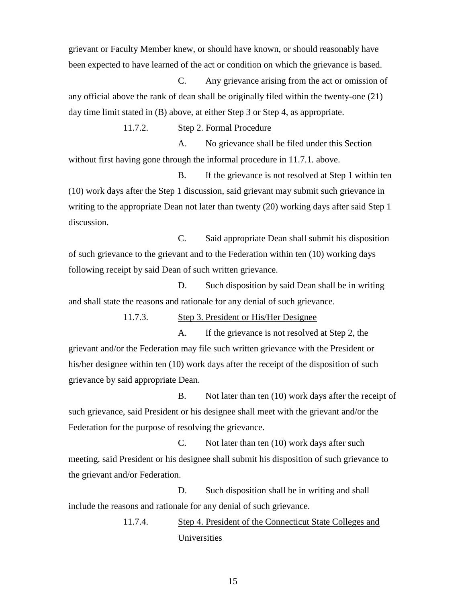grievant or Faculty Member knew, or should have known, or should reasonably have been expected to have learned of the act or condition on which the grievance is based.

C. Any grievance arising from the act or omission of any official above the rank of dean shall be originally filed within the twenty-one (21) day time limit stated in (B) above, at either Step 3 or Step 4, as appropriate.

11.7.2. Step 2. Formal Procedure

A. No grievance shall be filed under this Section without first having gone through the informal procedure in 11.7.1. above.

B. If the grievance is not resolved at Step 1 within ten (10) work days after the Step 1 discussion, said grievant may submit such grievance in writing to the appropriate Dean not later than twenty (20) working days after said Step 1 discussion.

C. Said appropriate Dean shall submit his disposition of such grievance to the grievant and to the Federation within ten (10) working days following receipt by said Dean of such written grievance.

D. Such disposition by said Dean shall be in writing and shall state the reasons and rationale for any denial of such grievance.

11.7.3. Step 3. President or His/Her Designee

A. If the grievance is not resolved at Step 2, the grievant and/or the Federation may file such written grievance with the President or his/her designee within ten (10) work days after the receipt of the disposition of such grievance by said appropriate Dean.

B. Not later than ten (10) work days after the receipt of such grievance, said President or his designee shall meet with the grievant and/or the Federation for the purpose of resolving the grievance.

C. Not later than ten (10) work days after such meeting, said President or his designee shall submit his disposition of such grievance to the grievant and/or Federation.

D. Such disposition shall be in writing and shall include the reasons and rationale for any denial of such grievance.

> 11.7.4. Step 4. President of the Connecticut State Colleges and Universities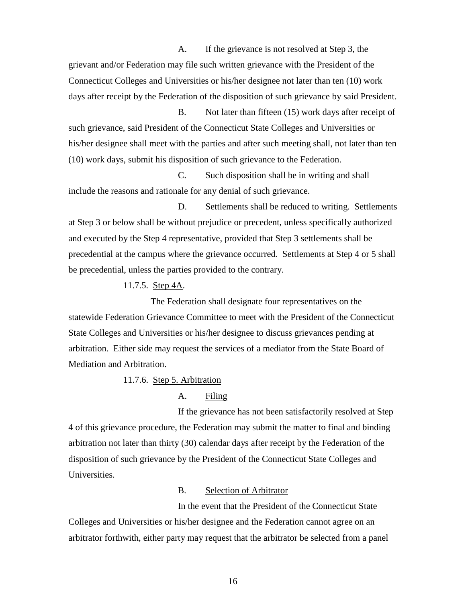A. If the grievance is not resolved at Step 3, the grievant and/or Federation may file such written grievance with the President of the Connecticut Colleges and Universities or his/her designee not later than ten (10) work days after receipt by the Federation of the disposition of such grievance by said President.

B. Not later than fifteen (15) work days after receipt of such grievance, said President of the Connecticut State Colleges and Universities or his/her designee shall meet with the parties and after such meeting shall, not later than ten (10) work days, submit his disposition of such grievance to the Federation.

C. Such disposition shall be in writing and shall include the reasons and rationale for any denial of such grievance.

D. Settlements shall be reduced to writing. Settlements at Step 3 or below shall be without prejudice or precedent, unless specifically authorized and executed by the Step 4 representative, provided that Step 3 settlements shall be precedential at the campus where the grievance occurred. Settlements at Step 4 or 5 shall be precedential, unless the parties provided to the contrary.

11.7.5. Step 4A.

The Federation shall designate four representatives on the statewide Federation Grievance Committee to meet with the President of the Connecticut State Colleges and Universities or his/her designee to discuss grievances pending at arbitration. Either side may request the services of a mediator from the State Board of Mediation and Arbitration.

#### 11.7.6. Step 5. Arbitration

#### A. Filing

If the grievance has not been satisfactorily resolved at Step 4 of this grievance procedure, the Federation may submit the matter to final and binding arbitration not later than thirty (30) calendar days after receipt by the Federation of the disposition of such grievance by the President of the Connecticut State Colleges and Universities.

#### B. Selection of Arbitrator

In the event that the President of the Connecticut State Colleges and Universities or his/her designee and the Federation cannot agree on an arbitrator forthwith, either party may request that the arbitrator be selected from a panel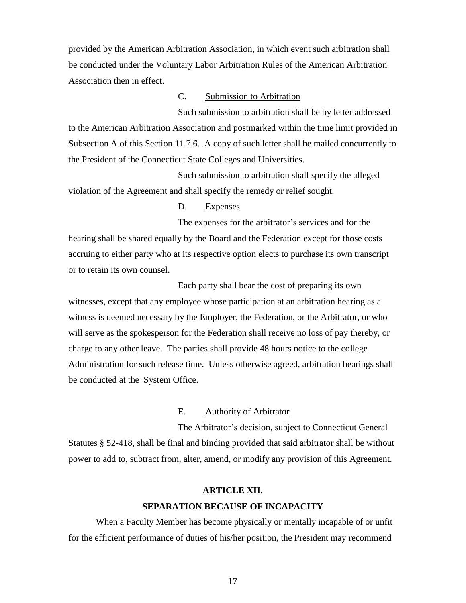provided by the American Arbitration Association, in which event such arbitration shall be conducted under the Voluntary Labor Arbitration Rules of the American Arbitration Association then in effect.

#### C. Submission to Arbitration

Such submission to arbitration shall be by letter addressed to the American Arbitration Association and postmarked within the time limit provided in Subsection A of this Section 11.7.6. A copy of such letter shall be mailed concurrently to the President of the Connecticut State Colleges and Universities.

Such submission to arbitration shall specify the alleged violation of the Agreement and shall specify the remedy or relief sought.

#### D. Expenses

The expenses for the arbitrator's services and for the hearing shall be shared equally by the Board and the Federation except for those costs accruing to either party who at its respective option elects to purchase its own transcript or to retain its own counsel.

Each party shall bear the cost of preparing its own witnesses, except that any employee whose participation at an arbitration hearing as a witness is deemed necessary by the Employer, the Federation, or the Arbitrator, or who will serve as the spokesperson for the Federation shall receive no loss of pay thereby, or charge to any other leave. The parties shall provide 48 hours notice to the college Administration for such release time. Unless otherwise agreed, arbitration hearings shall be conducted at the System Office.

#### E. Authority of Arbitrator

The Arbitrator's decision, subject to Connecticut General Statutes § 52-418, shall be final and binding provided that said arbitrator shall be without power to add to, subtract from, alter, amend, or modify any provision of this Agreement.

# **ARTICLE XII. SEPARATION BECAUSE OF INCAPACITY**

When a Faculty Member has become physically or mentally incapable of or unfit for the efficient performance of duties of his/her position, the President may recommend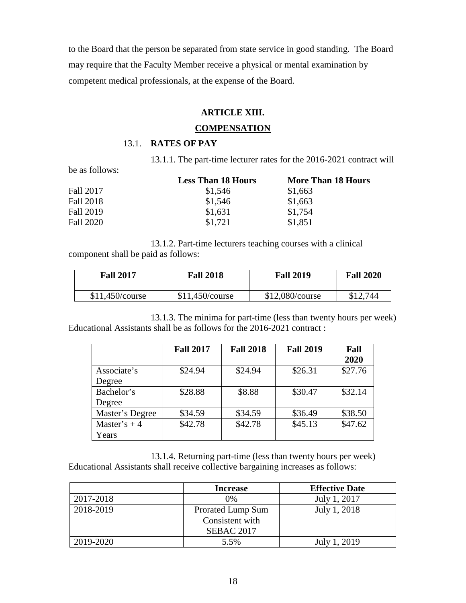to the Board that the person be separated from state service in good standing. The Board may require that the Faculty Member receive a physical or mental examination by competent medical professionals, at the expense of the Board.

#### **ARTICLE XIII.**

#### **COMPENSATION**

#### 13.1. **RATES OF PAY**

13.1.1. The part-time lecturer rates for the 2016-2021 contract will

be as follows:

|           | <b>Less Than 18 Hours</b> | <b>More Than 18 Hours</b> |
|-----------|---------------------------|---------------------------|
| Fall 2017 | \$1,546                   | \$1,663                   |
| Fall 2018 | \$1,546                   | \$1,663                   |
| Fall 2019 | \$1,631                   | \$1,754                   |
| Fall 2020 | \$1,721                   | \$1,851                   |

13.1.2. Part-time lecturers teaching courses with a clinical component shall be paid as follows:

| <b>Fall 2017</b> | <b>Fall 2018</b> | <b>Fall 2019</b> | <b>Fall 2020</b> |
|------------------|------------------|------------------|------------------|
| \$11,450/course  | \$11,450/course  | \$12,080/course  | \$12.744         |

13.1.3. The minima for part-time (less than twenty hours per week) Educational Assistants shall be as follows for the 2016-2021 contract :

|                 | <b>Fall 2017</b> | <b>Fall 2018</b> | <b>Fall 2019</b> | Fall<br>2020 |
|-----------------|------------------|------------------|------------------|--------------|
| Associate's     | \$24.94          | \$24.94          | \$26.31          | \$27.76      |
| Degree          |                  |                  |                  |              |
| Bachelor's      | \$28.88          | \$8.88           | \$30.47          | \$32.14      |
| Degree          |                  |                  |                  |              |
| Master's Degree | \$34.59          | \$34.59          | \$36.49          | \$38.50      |
| Master's $+4$   | \$42.78          | \$42.78          | \$45.13          | \$47.62      |
| Years           |                  |                  |                  |              |

13.1.4. Returning part-time (less than twenty hours per week) Educational Assistants shall receive collective bargaining increases as follows:

|           | <b>Increase</b>   | <b>Effective Date</b> |
|-----------|-------------------|-----------------------|
| 2017-2018 | 0%                | July 1, 2017          |
| 2018-2019 | Prorated Lump Sum | July 1, 2018          |
|           | Consistent with   |                       |
|           | <b>SEBAC 2017</b> |                       |
| 2019-2020 | 5.5%              | July 1, 2019          |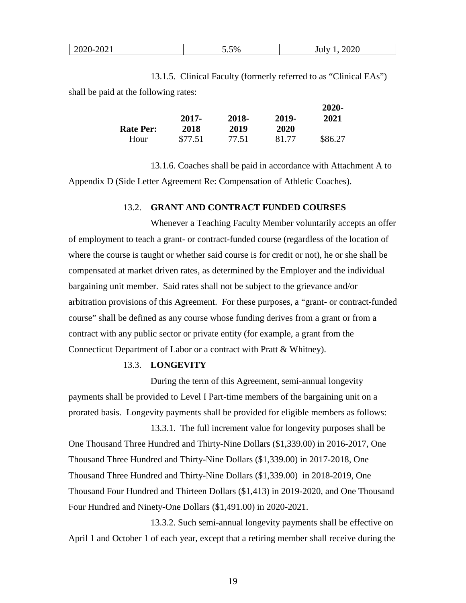| ¬∩∤<br>,,<br>-- - -<br>ZUZ<br>∪∠∪<br>، ک ک<br>◡ | $\sim$ $\sim$ $\sim$ | 5.5% | ാറാല |
|-------------------------------------------------|----------------------|------|------|
|-------------------------------------------------|----------------------|------|------|

13.1.5. Clinical Faculty (formerly referred to as "Clinical EAs") shall be paid at the following rates:

|                  |         |       |       | 2020-   |
|------------------|---------|-------|-------|---------|
|                  | 2017-   | 2018- | 2019- | 2021    |
| <b>Rate Per:</b> | 2018    | 2019  | 2020  |         |
| Hour             | \$77.51 | 77.51 | 81.77 | \$86.27 |

13.1.6. Coaches shall be paid in accordance with Attachment A to Appendix D (Side Letter Agreement Re: Compensation of Athletic Coaches).

#### 13.2. **GRANT AND CONTRACT FUNDED COURSES**

Whenever a Teaching Faculty Member voluntarily accepts an offer of employment to teach a grant- or contract-funded course (regardless of the location of where the course is taught or whether said course is for credit or not), he or she shall be compensated at market driven rates, as determined by the Employer and the individual bargaining unit member. Said rates shall not be subject to the grievance and/or arbitration provisions of this Agreement. For these purposes, a "grant- or contract-funded course" shall be defined as any course whose funding derives from a grant or from a contract with any public sector or private entity (for example, a grant from the Connecticut Department of Labor or a contract with Pratt & Whitney).

#### 13.3. **LONGEVITY**

During the term of this Agreement, semi-annual longevity payments shall be provided to Level I Part-time members of the bargaining unit on a prorated basis. Longevity payments shall be provided for eligible members as follows:

13.3.1. The full increment value for longevity purposes shall be One Thousand Three Hundred and Thirty-Nine Dollars (\$1,339.00) in 2016-2017, One Thousand Three Hundred and Thirty-Nine Dollars (\$1,339.00) in 2017-2018, One Thousand Three Hundred and Thirty-Nine Dollars (\$1,339.00) in 2018-2019, One Thousand Four Hundred and Thirteen Dollars (\$1,413) in 2019-2020, and One Thousand Four Hundred and Ninety-One Dollars (\$1,491.00) in 2020-2021.

13.3.2. Such semi-annual longevity payments shall be effective on April 1 and October 1 of each year, except that a retiring member shall receive during the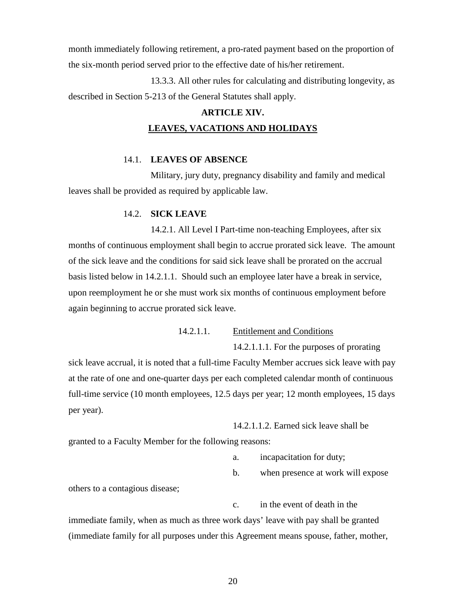month immediately following retirement, a pro-rated payment based on the proportion of the six-month period served prior to the effective date of his/her retirement.

13.3.3. All other rules for calculating and distributing longevity, as described in Section 5-213 of the General Statutes shall apply.

# **ARTICLE XIV. LEAVES, VACATIONS AND HOLIDAYS**

#### 14.1. **LEAVES OF ABSENCE**

Military, jury duty, pregnancy disability and family and medical leaves shall be provided as required by applicable law.

#### 14.2. **SICK LEAVE**

14.2.1. All Level I Part-time non-teaching Employees, after six months of continuous employment shall begin to accrue prorated sick leave. The amount of the sick leave and the conditions for said sick leave shall be prorated on the accrual basis listed below in 14.2.1.1. Should such an employee later have a break in service, upon reemployment he or she must work six months of continuous employment before again beginning to accrue prorated sick leave.

14.2.1.1. Entitlement and Conditions

14.2.1.1.1. For the purposes of prorating

sick leave accrual, it is noted that a full-time Faculty Member accrues sick leave with pay at the rate of one and one-quarter days per each completed calendar month of continuous full-time service (10 month employees, 12.5 days per year; 12 month employees, 15 days per year).

14.2.1.1.2. Earned sick leave shall be granted to a Faculty Member for the following reasons:

a. incapacitation for duty;

b. when presence at work will expose

others to a contagious disease;

c. in the event of death in the immediate family, when as much as three work days' leave with pay shall be granted (immediate family for all purposes under this Agreement means spouse, father, mother,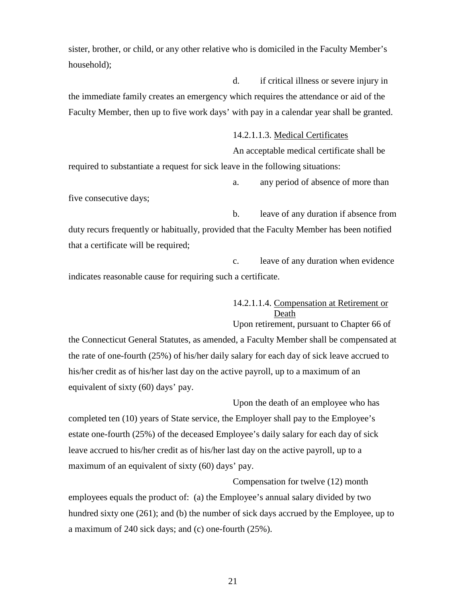sister, brother, or child, or any other relative who is domiciled in the Faculty Member's household);

d. if critical illness or severe injury in the immediate family creates an emergency which requires the attendance or aid of the Faculty Member, then up to five work days' with pay in a calendar year shall be granted.

> 14.2.1.1.3. Medical Certificates An acceptable medical certificate shall be

required to substantiate a request for sick leave in the following situations:

a. any period of absence of more than

five consecutive days;

b. leave of any duration if absence from duty recurs frequently or habitually, provided that the Faculty Member has been notified that a certificate will be required;

c. leave of any duration when evidence indicates reasonable cause for requiring such a certificate.

> 14.2.1.1.4. Compensation at Retirement or Death Upon retirement, pursuant to Chapter 66 of

the Connecticut General Statutes, as amended, a Faculty Member shall be compensated at the rate of one-fourth (25%) of his/her daily salary for each day of sick leave accrued to his/her credit as of his/her last day on the active payroll, up to a maximum of an equivalent of sixty (60) days' pay.

Upon the death of an employee who has completed ten (10) years of State service, the Employer shall pay to the Employee's estate one-fourth (25%) of the deceased Employee's daily salary for each day of sick leave accrued to his/her credit as of his/her last day on the active payroll, up to a maximum of an equivalent of sixty (60) days' pay.

Compensation for twelve (12) month employees equals the product of: (a) the Employee's annual salary divided by two hundred sixty one (261); and (b) the number of sick days accrued by the Employee, up to a maximum of 240 sick days; and (c) one-fourth (25%).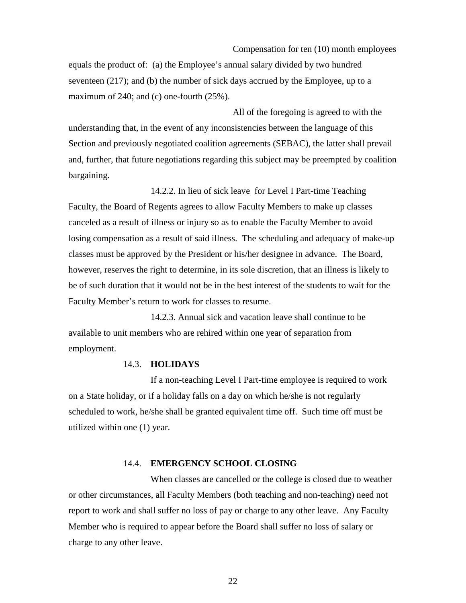Compensation for ten (10) month employees

equals the product of: (a) the Employee's annual salary divided by two hundred seventeen (217); and (b) the number of sick days accrued by the Employee, up to a maximum of 240; and (c) one-fourth (25%).

All of the foregoing is agreed to with the understanding that, in the event of any inconsistencies between the language of this Section and previously negotiated coalition agreements (SEBAC), the latter shall prevail and, further, that future negotiations regarding this subject may be preempted by coalition bargaining.

14.2.2. In lieu of sick leave for Level I Part-time Teaching Faculty, the Board of Regents agrees to allow Faculty Members to make up classes canceled as a result of illness or injury so as to enable the Faculty Member to avoid losing compensation as a result of said illness. The scheduling and adequacy of make-up classes must be approved by the President or his/her designee in advance. The Board, however, reserves the right to determine, in its sole discretion, that an illness is likely to be of such duration that it would not be in the best interest of the students to wait for the Faculty Member's return to work for classes to resume.

14.2.3. Annual sick and vacation leave shall continue to be available to unit members who are rehired within one year of separation from employment.

#### 14.3. **HOLIDAYS**

If a non-teaching Level I Part-time employee is required to work on a State holiday, or if a holiday falls on a day on which he/she is not regularly scheduled to work, he/she shall be granted equivalent time off. Such time off must be utilized within one (1) year.

#### 14.4. **EMERGENCY SCHOOL CLOSING**

When classes are cancelled or the college is closed due to weather or other circumstances, all Faculty Members (both teaching and non-teaching) need not report to work and shall suffer no loss of pay or charge to any other leave. Any Faculty Member who is required to appear before the Board shall suffer no loss of salary or charge to any other leave.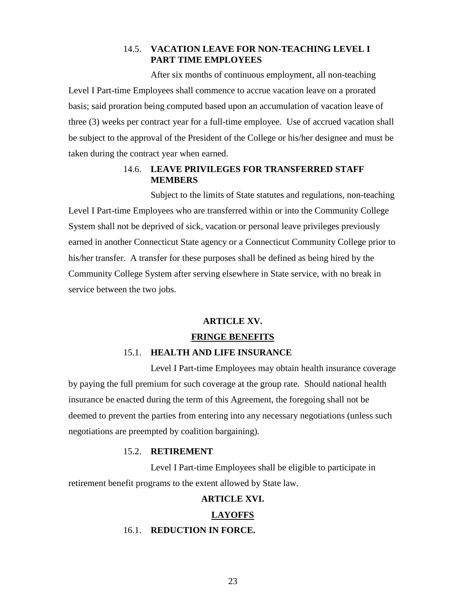#### 14.5. **VACATION LEAVE FOR NON-TEACHING LEVEL I PART TIME EMPLOYEES**

After six months of continuous employment, all non-teaching Level I Part-time Employees shall commence to accrue vacation leave on a prorated basis; said proration being computed based upon an accumulation of vacation leave of three (3) weeks per contract year for a full-time employee. Use of accrued vacation shall be subject to the approval of the President of the College or his/her designee and must be taken during the contract year when earned.

#### 14.6. **LEAVE PRIVILEGES FOR TRANSFERRED STAFF MEMBERS**

Subject to the limits of State statutes and regulations, non-teaching Level I Part-time Employees who are transferred within or into the Community College System shall not be deprived of sick, vacation or personal leave privileges previously earned in another Connecticut State agency or a Connecticut Community College prior to his/her transfer. A transfer for these purposes shall be defined as being hired by the Community College System after serving elsewhere in State service, with no break in service between the two jobs.

#### **ARTICLE XV.**

#### **FRINGE BENEFITS**

#### 15.1. **HEALTH AND LIFE INSURANCE**

Level I Part-time Employees may obtain health insurance coverage by paying the full premium for such coverage at the group rate. Should national health insurance be enacted during the term of this Agreement, the foregoing shall not be deemed to prevent the parties from entering into any necessary negotiations (unless such negotiations are preempted by coalition bargaining).

#### 15.2. **RETIREMENT**

Level I Part-time Employees shall be eligible to participate in retirement benefit programs to the extent allowed by State law.

#### **ARTICLE XVI.**

#### **LAYOFFS**

#### 16.1. **REDUCTION IN FORCE.**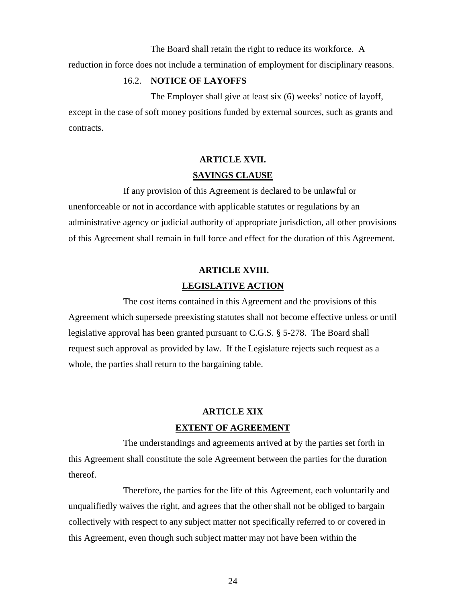The Board shall retain the right to reduce its workforce. A

reduction in force does not include a termination of employment for disciplinary reasons.

#### 16.2. **NOTICE OF LAYOFFS**

The Employer shall give at least six (6) weeks' notice of layoff, except in the case of soft money positions funded by external sources, such as grants and contracts.

# **ARTICLE XVII. SAVINGS CLAUSE**

If any provision of this Agreement is declared to be unlawful or unenforceable or not in accordance with applicable statutes or regulations by an administrative agency or judicial authority of appropriate jurisdiction, all other provisions of this Agreement shall remain in full force and effect for the duration of this Agreement.

# **ARTICLE XVIII. LEGISLATIVE ACTION**

The cost items contained in this Agreement and the provisions of this Agreement which supersede preexisting statutes shall not become effective unless or until legislative approval has been granted pursuant to C.G.S. § 5-278. The Board shall request such approval as provided by law. If the Legislature rejects such request as a whole, the parties shall return to the bargaining table.

# **ARTICLE XIX**

#### **EXTENT OF AGREEMENT**

The understandings and agreements arrived at by the parties set forth in this Agreement shall constitute the sole Agreement between the parties for the duration thereof.

Therefore, the parties for the life of this Agreement, each voluntarily and unqualifiedly waives the right, and agrees that the other shall not be obliged to bargain collectively with respect to any subject matter not specifically referred to or covered in this Agreement, even though such subject matter may not have been within the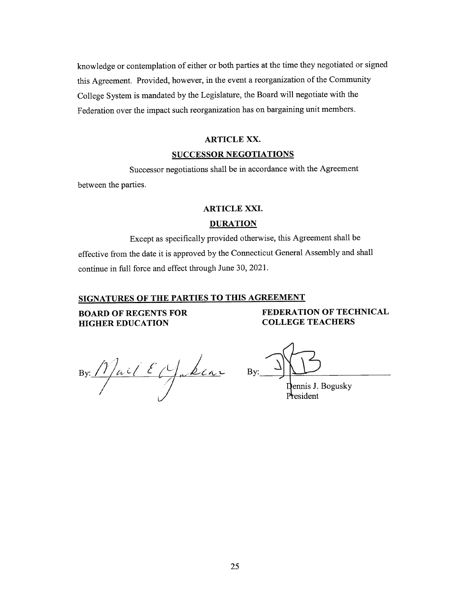knowledge or contemplation of either or both parties at the time they negotiated or signed this Agreement. Provided, however, in the event a reorganization of the Community College System is mandated by the Legislature, the Board will negotiate with the Federation over the impact such reorganization has on bargaining unit members.

#### **ARTICLE XX.**

#### **SUCCESSOR NEGOTIATIONS**

Successor negotiations shall be in accordance with the Agreement

between the parties.

#### **ARTICLE XXI.**

#### **DURATION**

Except as specifically provided otherwise, this Agreement shall be effective from the date it is approved by the Connecticut General Assembly and shall continue in full force and effect through June 30, 2021.

#### SIGNATURES OF THE PARTIES TO THIS AGREEMENT

**BOARD OF REGENTS FOR HIGHER EDUCATION** 

FEDERATION OF TECHNICAL **COLLEGE TEACHERS** 

By Mail Edfabeur By )

Dennis J. Bogusky President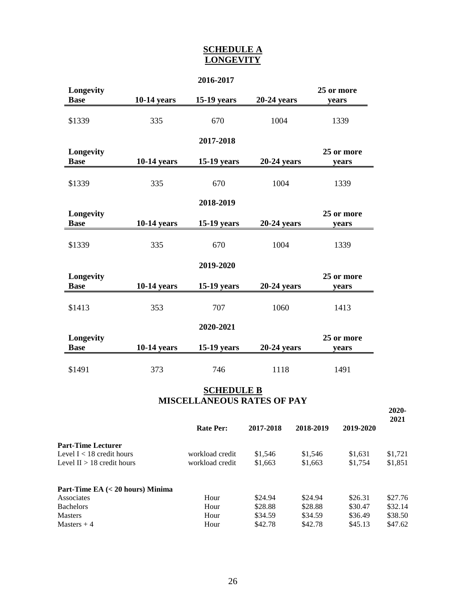#### **SCHEDULE A LONGEVITY**

|             |                    | 2016-2017          |               |            |
|-------------|--------------------|--------------------|---------------|------------|
| Longevity   |                    |                    |               | 25 or more |
| <b>Base</b> | <b>10-14 years</b> | 15-19 years        | 20-24 years   | years      |
|             |                    |                    |               |            |
| \$1339      | 335                | 670                | 1004          | 1339       |
|             |                    |                    |               |            |
|             |                    | 2017-2018          |               |            |
| Longevity   |                    |                    |               | 25 or more |
| <b>Base</b> | $10-14$ years      | <b>15-19 years</b> | $20-24$ years | years      |
|             |                    |                    |               |            |
| \$1339      | 335                | 670                | 1004          | 1339       |
|             |                    |                    |               |            |
|             |                    | 2018-2019          |               |            |
| Longevity   |                    |                    |               | 25 or more |
| <b>Base</b> | $10-14$ years      | <b>15-19 years</b> | 20-24 years   | years      |
|             |                    |                    |               |            |
| \$1339      | 335                | 670                | 1004          | 1339       |
|             |                    |                    |               |            |
|             |                    | 2019-2020          |               |            |
| Longevity   |                    |                    |               | 25 or more |
| <b>Base</b> | $10-14$ years      | $15-19$ years      | $20-24$ years | years      |
|             |                    |                    |               |            |
| \$1413      | 353                | 707                | 1060          | 1413       |
|             |                    |                    |               |            |
|             |                    | 2020-2021          |               |            |
| Longevity   |                    |                    |               | 25 or more |
| <b>Base</b> | 10-14 years        | 15-19 years        | 20-24 years   | years      |
|             |                    |                    |               |            |
| \$1491      | 373                | 746                | 1118          | 1491       |

#### **SCHEDULE B MISCELLANEOUS RATES OF PAY**

|                                    |                  |           |           |           | $2020 -$<br>2021 |
|------------------------------------|------------------|-----------|-----------|-----------|------------------|
|                                    | <b>Rate Per:</b> | 2017-2018 | 2018-2019 | 2019-2020 |                  |
| <b>Part-Time Lecturer</b>          |                  |           |           |           |                  |
| Level $I < 18$ credit hours        | workload credit  | \$1,546   | \$1,546   | \$1,631   | \$1,721          |
| Level $II > 18$ credit hours       | workload credit  | \$1,663   | \$1,663   | \$1,754   | \$1,851          |
| Part-Time EA $(< 20$ hours) Minima |                  |           |           |           |                  |
| Associates                         | Hour             | \$24.94   | \$24.94   | \$26.31   | \$27.76          |
| <b>Bachelors</b>                   | Hour             | \$28.88   | \$28.88   | \$30.47   | \$32.14          |
| <b>Masters</b>                     | Hour             | \$34.59   | \$34.59   | \$36.49   | \$38.50          |
| Masters $+4$                       | Hour             | \$42.78   | \$42.78   | \$45.13   | \$47.62          |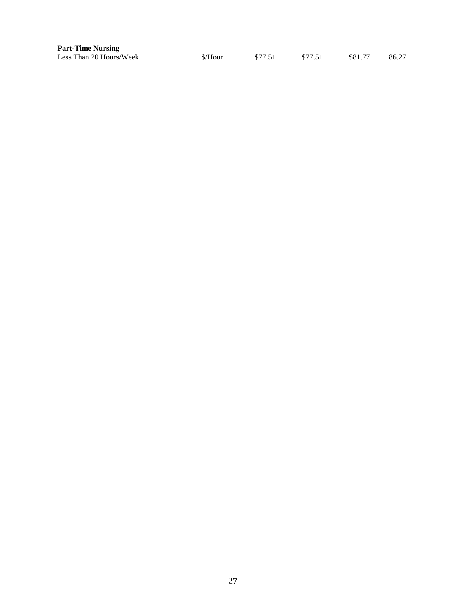| <b>Part-Time Nursing</b> |         |         |         |         |       |
|--------------------------|---------|---------|---------|---------|-------|
| Less Than 20 Hours/Week  | \$/Hour | \$77.51 | \$77.51 | \$81.77 | 86.27 |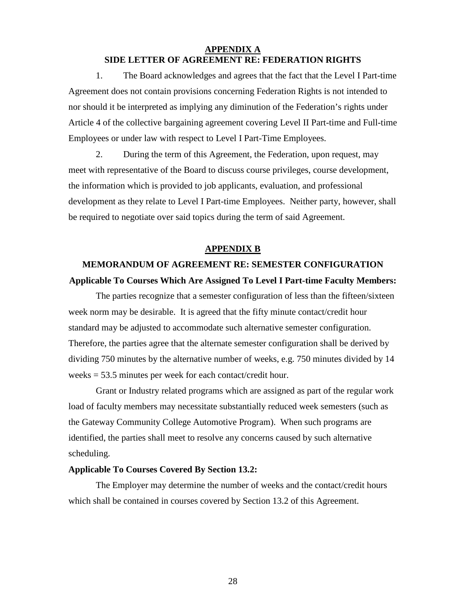#### **APPENDIX A SIDE LETTER OF AGREEMENT RE: FEDERATION RIGHTS**

1. The Board acknowledges and agrees that the fact that the Level I Part-time Agreement does not contain provisions concerning Federation Rights is not intended to nor should it be interpreted as implying any diminution of the Federation's rights under Article 4 of the collective bargaining agreement covering Level II Part-time and Full-time Employees or under law with respect to Level I Part-Time Employees.

2. During the term of this Agreement, the Federation, upon request, may meet with representative of the Board to discuss course privileges, course development, the information which is provided to job applicants, evaluation, and professional development as they relate to Level I Part-time Employees. Neither party, however, shall be required to negotiate over said topics during the term of said Agreement.

#### **APPENDIX B**

# **MEMORANDUM OF AGREEMENT RE: SEMESTER CONFIGURATION Applicable To Courses Which Are Assigned To Level I Part-time Faculty Members:**

The parties recognize that a semester configuration of less than the fifteen/sixteen week norm may be desirable. It is agreed that the fifty minute contact/credit hour standard may be adjusted to accommodate such alternative semester configuration. Therefore, the parties agree that the alternate semester configuration shall be derived by dividing 750 minutes by the alternative number of weeks, e.g. 750 minutes divided by 14 weeks = 53.5 minutes per week for each contact/credit hour.

Grant or Industry related programs which are assigned as part of the regular work load of faculty members may necessitate substantially reduced week semesters (such as the Gateway Community College Automotive Program). When such programs are identified, the parties shall meet to resolve any concerns caused by such alternative scheduling.

#### **Applicable To Courses Covered By Section 13.2:**

The Employer may determine the number of weeks and the contact/credit hours which shall be contained in courses covered by Section 13.2 of this Agreement.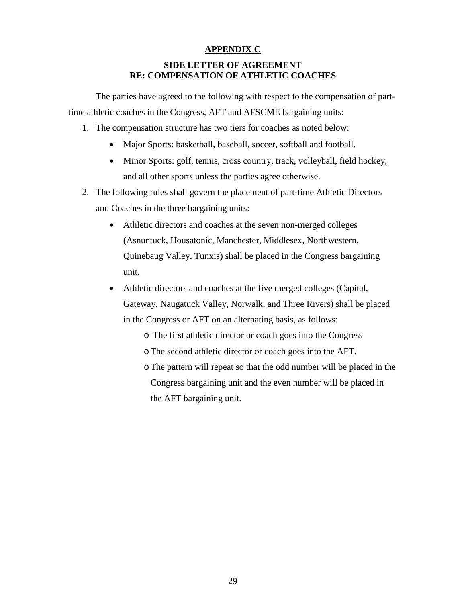#### **APPENDIX C**

### **SIDE LETTER OF AGREEMENT RE: COMPENSATION OF ATHLETIC COACHES**

The parties have agreed to the following with respect to the compensation of parttime athletic coaches in the Congress, AFT and AFSCME bargaining units:

- 1. The compensation structure has two tiers for coaches as noted below:
	- Major Sports: basketball, baseball, soccer, softball and football.
	- Minor Sports: golf, tennis, cross country, track, volleyball, field hockey, and all other sports unless the parties agree otherwise.
- 2. The following rules shall govern the placement of part-time Athletic Directors and Coaches in the three bargaining units:
	- Athletic directors and coaches at the seven non-merged colleges (Asnuntuck, Housatonic, Manchester, Middlesex, Northwestern, Quinebaug Valley, Tunxis) shall be placed in the Congress bargaining unit.
	- Athletic directors and coaches at the five merged colleges (Capital, Gateway, Naugatuck Valley, Norwalk, and Three Rivers) shall be placed in the Congress or AFT on an alternating basis, as follows:
		- o The first athletic director or coach goes into the Congress
		- oThe second athletic director or coach goes into the AFT.
		- oThe pattern will repeat so that the odd number will be placed in the Congress bargaining unit and the even number will be placed in the AFT bargaining unit.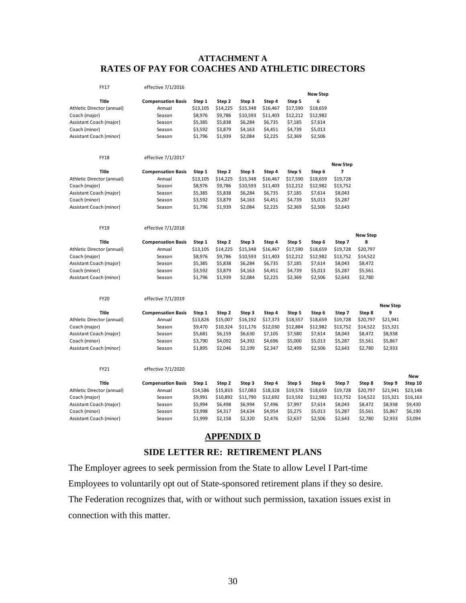#### **ATTACHMENT A RATES OF PAY FOR COACHES AND ATHLETIC DIRECTORS**

| <b>New Step</b><br>6<br><b>Title</b><br><b>Compensation Basis</b><br>Step 1<br>Step 2<br>Step 3<br>Step 4<br>Step 5<br>Athletic Director (annual)<br>\$13,105<br>\$15,348<br>\$16,467<br>\$18,659<br>Annual<br>\$14,225<br>\$17,590<br>Coach (major)<br>\$8,976<br>\$9,786<br>\$10,593<br>\$11,403<br>\$12,212<br>\$12,982<br>Season<br>Assistant Coach (major)<br>\$5,385<br>\$5,838<br>\$6,284<br>\$6,735<br>\$7,185<br>\$7,614<br>Season<br>\$4,451<br>\$5,013<br>Coach (minor)<br>\$3,592<br>\$3,879<br>\$4,163<br>\$4,739<br>Season<br>\$2,225<br>\$2,506<br>Assistant Coach (minor)<br>\$1,796<br>\$1,939<br>\$2,084<br>\$2,369<br>Season<br><b>FY18</b><br>effective 7/1/2017<br><b>New Step</b><br>7<br><b>Title</b><br><b>Compensation Basis</b><br>Step 1<br>Step 3<br>Step 5<br>Step 6<br>Step 2<br>Step 4<br>Athletic Director (annual)<br>Annual<br>\$13,105<br>\$14,225<br>\$15,348<br>\$16,467<br>\$17,590<br>\$18,659<br>\$19,728<br>Coach (major)<br>\$8,976<br>\$9,786<br>\$10,593<br>\$12,982<br>\$13,752<br>Season<br>\$11,403<br>\$12,212<br>Assistant Coach (major)<br>\$5,385<br>\$5,838<br>\$6,284<br>\$6,735<br>\$7,185<br>\$7,614<br>\$8,043<br>Season<br>Coach (minor)<br>\$3,592<br>\$3,879<br>\$4,163<br>\$4,451<br>\$4,739<br>\$5,013<br>\$5,287<br>Season<br>\$2,225<br>Assistant Coach (minor)<br>\$1,796<br>\$1,939<br>\$2,084<br>\$2,369<br>\$2,506<br>\$2,643<br>Season<br>effective 7/1/2018<br><b>FY19</b><br><b>New Step</b><br><b>Title</b><br><b>Compensation Basis</b><br>Step 1<br>Step 2<br>Step 3<br>Step 5<br>Step 6<br>Step 7<br>8<br>Step 4<br>Athletic Director (annual)<br>Annual<br>\$13,105<br>\$14,225<br>\$15,348<br>\$16,467<br>\$17,590<br>\$18,659<br>\$19,728<br>\$20,797<br>Coach (major)<br>Season<br>\$8,976<br>\$9,786<br>\$10,593<br>\$11,403<br>\$12,212<br>\$12,982<br>\$13,752<br>\$14,522<br>Assistant Coach (major)<br>Season<br>\$5,385<br>\$5,838<br>\$6,284<br>\$6,735<br>\$7,185<br>\$7,614<br>\$8,043<br>\$8,472<br>Coach (minor)<br>\$3,592<br>\$3,879<br>\$4,163<br>\$4,451<br>\$4,739<br>\$5,013<br>\$5,287<br>\$5,561<br>Season<br>\$2,506<br>\$2,780<br>Assistant Coach (minor)<br>\$1,796<br>\$1,939<br>\$2,084<br>\$2,225<br>\$2,369<br>\$2,643<br>Season<br><b>FY20</b><br>effective 7/1/2019<br><b>New Step</b><br><b>Title</b><br>9<br><b>Compensation Basis</b><br>Step 1<br>Step 7<br>Step 2<br>Step 3<br>Step 4<br>Step 5<br>Step 6<br>Step 8<br>\$13,826<br>\$18,557<br>\$19,728<br>\$21,941<br>Athletic Director (annual)<br>Annual<br>\$15,007<br>\$16,192<br>\$17,373<br>\$18,659<br>\$20,797<br>Coach (major)<br>\$9,470<br>\$10,324<br>\$12,030<br>\$12,982<br>\$15,321<br>Season<br>\$11,176<br>\$12,884<br>\$13,752<br>\$14,522<br>\$5,681<br>\$6,159<br>\$6,630<br>\$7,105<br>\$7,580<br>\$7,614<br>\$8,043<br>\$8,472<br>\$8,938<br>Assistant Coach (major)<br>Season | FY17          | effective 7/1/2016 |         |         |         |         |         |         |         |         |         |          |
|----------------------------------------------------------------------------------------------------------------------------------------------------------------------------------------------------------------------------------------------------------------------------------------------------------------------------------------------------------------------------------------------------------------------------------------------------------------------------------------------------------------------------------------------------------------------------------------------------------------------------------------------------------------------------------------------------------------------------------------------------------------------------------------------------------------------------------------------------------------------------------------------------------------------------------------------------------------------------------------------------------------------------------------------------------------------------------------------------------------------------------------------------------------------------------------------------------------------------------------------------------------------------------------------------------------------------------------------------------------------------------------------------------------------------------------------------------------------------------------------------------------------------------------------------------------------------------------------------------------------------------------------------------------------------------------------------------------------------------------------------------------------------------------------------------------------------------------------------------------------------------------------------------------------------------------------------------------------------------------------------------------------------------------------------------------------------------------------------------------------------------------------------------------------------------------------------------------------------------------------------------------------------------------------------------------------------------------------------------------------------------------------------------------------------------------------------------------------------------------------------------------------------------------------------------------------------------------------------------------------------------------------------------------------------------------------------------------------------------------------------------------------------------------------------------------------------------------------------------------------|---------------|--------------------|---------|---------|---------|---------|---------|---------|---------|---------|---------|----------|
|                                                                                                                                                                                                                                                                                                                                                                                                                                                                                                                                                                                                                                                                                                                                                                                                                                                                                                                                                                                                                                                                                                                                                                                                                                                                                                                                                                                                                                                                                                                                                                                                                                                                                                                                                                                                                                                                                                                                                                                                                                                                                                                                                                                                                                                                                                                                                                                                                                                                                                                                                                                                                                                                                                                                                                                                                                                                      |               |                    |         |         |         |         |         |         |         |         |         |          |
|                                                                                                                                                                                                                                                                                                                                                                                                                                                                                                                                                                                                                                                                                                                                                                                                                                                                                                                                                                                                                                                                                                                                                                                                                                                                                                                                                                                                                                                                                                                                                                                                                                                                                                                                                                                                                                                                                                                                                                                                                                                                                                                                                                                                                                                                                                                                                                                                                                                                                                                                                                                                                                                                                                                                                                                                                                                                      |               |                    |         |         |         |         |         |         |         |         |         |          |
|                                                                                                                                                                                                                                                                                                                                                                                                                                                                                                                                                                                                                                                                                                                                                                                                                                                                                                                                                                                                                                                                                                                                                                                                                                                                                                                                                                                                                                                                                                                                                                                                                                                                                                                                                                                                                                                                                                                                                                                                                                                                                                                                                                                                                                                                                                                                                                                                                                                                                                                                                                                                                                                                                                                                                                                                                                                                      |               |                    |         |         |         |         |         |         |         |         |         |          |
|                                                                                                                                                                                                                                                                                                                                                                                                                                                                                                                                                                                                                                                                                                                                                                                                                                                                                                                                                                                                                                                                                                                                                                                                                                                                                                                                                                                                                                                                                                                                                                                                                                                                                                                                                                                                                                                                                                                                                                                                                                                                                                                                                                                                                                                                                                                                                                                                                                                                                                                                                                                                                                                                                                                                                                                                                                                                      |               |                    |         |         |         |         |         |         |         |         |         |          |
|                                                                                                                                                                                                                                                                                                                                                                                                                                                                                                                                                                                                                                                                                                                                                                                                                                                                                                                                                                                                                                                                                                                                                                                                                                                                                                                                                                                                                                                                                                                                                                                                                                                                                                                                                                                                                                                                                                                                                                                                                                                                                                                                                                                                                                                                                                                                                                                                                                                                                                                                                                                                                                                                                                                                                                                                                                                                      |               |                    |         |         |         |         |         |         |         |         |         |          |
|                                                                                                                                                                                                                                                                                                                                                                                                                                                                                                                                                                                                                                                                                                                                                                                                                                                                                                                                                                                                                                                                                                                                                                                                                                                                                                                                                                                                                                                                                                                                                                                                                                                                                                                                                                                                                                                                                                                                                                                                                                                                                                                                                                                                                                                                                                                                                                                                                                                                                                                                                                                                                                                                                                                                                                                                                                                                      |               |                    |         |         |         |         |         |         |         |         |         |          |
|                                                                                                                                                                                                                                                                                                                                                                                                                                                                                                                                                                                                                                                                                                                                                                                                                                                                                                                                                                                                                                                                                                                                                                                                                                                                                                                                                                                                                                                                                                                                                                                                                                                                                                                                                                                                                                                                                                                                                                                                                                                                                                                                                                                                                                                                                                                                                                                                                                                                                                                                                                                                                                                                                                                                                                                                                                                                      |               |                    |         |         |         |         |         |         |         |         |         |          |
|                                                                                                                                                                                                                                                                                                                                                                                                                                                                                                                                                                                                                                                                                                                                                                                                                                                                                                                                                                                                                                                                                                                                                                                                                                                                                                                                                                                                                                                                                                                                                                                                                                                                                                                                                                                                                                                                                                                                                                                                                                                                                                                                                                                                                                                                                                                                                                                                                                                                                                                                                                                                                                                                                                                                                                                                                                                                      |               |                    |         |         |         |         |         |         |         |         |         |          |
|                                                                                                                                                                                                                                                                                                                                                                                                                                                                                                                                                                                                                                                                                                                                                                                                                                                                                                                                                                                                                                                                                                                                                                                                                                                                                                                                                                                                                                                                                                                                                                                                                                                                                                                                                                                                                                                                                                                                                                                                                                                                                                                                                                                                                                                                                                                                                                                                                                                                                                                                                                                                                                                                                                                                                                                                                                                                      |               |                    |         |         |         |         |         |         |         |         |         |          |
|                                                                                                                                                                                                                                                                                                                                                                                                                                                                                                                                                                                                                                                                                                                                                                                                                                                                                                                                                                                                                                                                                                                                                                                                                                                                                                                                                                                                                                                                                                                                                                                                                                                                                                                                                                                                                                                                                                                                                                                                                                                                                                                                                                                                                                                                                                                                                                                                                                                                                                                                                                                                                                                                                                                                                                                                                                                                      |               |                    |         |         |         |         |         |         |         |         |         |          |
|                                                                                                                                                                                                                                                                                                                                                                                                                                                                                                                                                                                                                                                                                                                                                                                                                                                                                                                                                                                                                                                                                                                                                                                                                                                                                                                                                                                                                                                                                                                                                                                                                                                                                                                                                                                                                                                                                                                                                                                                                                                                                                                                                                                                                                                                                                                                                                                                                                                                                                                                                                                                                                                                                                                                                                                                                                                                      |               |                    |         |         |         |         |         |         |         |         |         |          |
|                                                                                                                                                                                                                                                                                                                                                                                                                                                                                                                                                                                                                                                                                                                                                                                                                                                                                                                                                                                                                                                                                                                                                                                                                                                                                                                                                                                                                                                                                                                                                                                                                                                                                                                                                                                                                                                                                                                                                                                                                                                                                                                                                                                                                                                                                                                                                                                                                                                                                                                                                                                                                                                                                                                                                                                                                                                                      |               |                    |         |         |         |         |         |         |         |         |         |          |
|                                                                                                                                                                                                                                                                                                                                                                                                                                                                                                                                                                                                                                                                                                                                                                                                                                                                                                                                                                                                                                                                                                                                                                                                                                                                                                                                                                                                                                                                                                                                                                                                                                                                                                                                                                                                                                                                                                                                                                                                                                                                                                                                                                                                                                                                                                                                                                                                                                                                                                                                                                                                                                                                                                                                                                                                                                                                      |               |                    |         |         |         |         |         |         |         |         |         |          |
|                                                                                                                                                                                                                                                                                                                                                                                                                                                                                                                                                                                                                                                                                                                                                                                                                                                                                                                                                                                                                                                                                                                                                                                                                                                                                                                                                                                                                                                                                                                                                                                                                                                                                                                                                                                                                                                                                                                                                                                                                                                                                                                                                                                                                                                                                                                                                                                                                                                                                                                                                                                                                                                                                                                                                                                                                                                                      |               |                    |         |         |         |         |         |         |         |         |         |          |
|                                                                                                                                                                                                                                                                                                                                                                                                                                                                                                                                                                                                                                                                                                                                                                                                                                                                                                                                                                                                                                                                                                                                                                                                                                                                                                                                                                                                                                                                                                                                                                                                                                                                                                                                                                                                                                                                                                                                                                                                                                                                                                                                                                                                                                                                                                                                                                                                                                                                                                                                                                                                                                                                                                                                                                                                                                                                      |               |                    |         |         |         |         |         |         |         |         |         |          |
|                                                                                                                                                                                                                                                                                                                                                                                                                                                                                                                                                                                                                                                                                                                                                                                                                                                                                                                                                                                                                                                                                                                                                                                                                                                                                                                                                                                                                                                                                                                                                                                                                                                                                                                                                                                                                                                                                                                                                                                                                                                                                                                                                                                                                                                                                                                                                                                                                                                                                                                                                                                                                                                                                                                                                                                                                                                                      |               |                    |         |         |         |         |         |         |         |         |         |          |
|                                                                                                                                                                                                                                                                                                                                                                                                                                                                                                                                                                                                                                                                                                                                                                                                                                                                                                                                                                                                                                                                                                                                                                                                                                                                                                                                                                                                                                                                                                                                                                                                                                                                                                                                                                                                                                                                                                                                                                                                                                                                                                                                                                                                                                                                                                                                                                                                                                                                                                                                                                                                                                                                                                                                                                                                                                                                      |               |                    |         |         |         |         |         |         |         |         |         |          |
|                                                                                                                                                                                                                                                                                                                                                                                                                                                                                                                                                                                                                                                                                                                                                                                                                                                                                                                                                                                                                                                                                                                                                                                                                                                                                                                                                                                                                                                                                                                                                                                                                                                                                                                                                                                                                                                                                                                                                                                                                                                                                                                                                                                                                                                                                                                                                                                                                                                                                                                                                                                                                                                                                                                                                                                                                                                                      |               |                    |         |         |         |         |         |         |         |         |         |          |
|                                                                                                                                                                                                                                                                                                                                                                                                                                                                                                                                                                                                                                                                                                                                                                                                                                                                                                                                                                                                                                                                                                                                                                                                                                                                                                                                                                                                                                                                                                                                                                                                                                                                                                                                                                                                                                                                                                                                                                                                                                                                                                                                                                                                                                                                                                                                                                                                                                                                                                                                                                                                                                                                                                                                                                                                                                                                      |               |                    |         |         |         |         |         |         |         |         |         |          |
|                                                                                                                                                                                                                                                                                                                                                                                                                                                                                                                                                                                                                                                                                                                                                                                                                                                                                                                                                                                                                                                                                                                                                                                                                                                                                                                                                                                                                                                                                                                                                                                                                                                                                                                                                                                                                                                                                                                                                                                                                                                                                                                                                                                                                                                                                                                                                                                                                                                                                                                                                                                                                                                                                                                                                                                                                                                                      |               |                    |         |         |         |         |         |         |         |         |         |          |
|                                                                                                                                                                                                                                                                                                                                                                                                                                                                                                                                                                                                                                                                                                                                                                                                                                                                                                                                                                                                                                                                                                                                                                                                                                                                                                                                                                                                                                                                                                                                                                                                                                                                                                                                                                                                                                                                                                                                                                                                                                                                                                                                                                                                                                                                                                                                                                                                                                                                                                                                                                                                                                                                                                                                                                                                                                                                      |               |                    |         |         |         |         |         |         |         |         |         |          |
|                                                                                                                                                                                                                                                                                                                                                                                                                                                                                                                                                                                                                                                                                                                                                                                                                                                                                                                                                                                                                                                                                                                                                                                                                                                                                                                                                                                                                                                                                                                                                                                                                                                                                                                                                                                                                                                                                                                                                                                                                                                                                                                                                                                                                                                                                                                                                                                                                                                                                                                                                                                                                                                                                                                                                                                                                                                                      |               |                    |         |         |         |         |         |         |         |         |         |          |
|                                                                                                                                                                                                                                                                                                                                                                                                                                                                                                                                                                                                                                                                                                                                                                                                                                                                                                                                                                                                                                                                                                                                                                                                                                                                                                                                                                                                                                                                                                                                                                                                                                                                                                                                                                                                                                                                                                                                                                                                                                                                                                                                                                                                                                                                                                                                                                                                                                                                                                                                                                                                                                                                                                                                                                                                                                                                      |               |                    |         |         |         |         |         |         |         |         |         |          |
|                                                                                                                                                                                                                                                                                                                                                                                                                                                                                                                                                                                                                                                                                                                                                                                                                                                                                                                                                                                                                                                                                                                                                                                                                                                                                                                                                                                                                                                                                                                                                                                                                                                                                                                                                                                                                                                                                                                                                                                                                                                                                                                                                                                                                                                                                                                                                                                                                                                                                                                                                                                                                                                                                                                                                                                                                                                                      |               |                    |         |         |         |         |         |         |         |         |         |          |
|                                                                                                                                                                                                                                                                                                                                                                                                                                                                                                                                                                                                                                                                                                                                                                                                                                                                                                                                                                                                                                                                                                                                                                                                                                                                                                                                                                                                                                                                                                                                                                                                                                                                                                                                                                                                                                                                                                                                                                                                                                                                                                                                                                                                                                                                                                                                                                                                                                                                                                                                                                                                                                                                                                                                                                                                                                                                      |               |                    |         |         |         |         |         |         |         |         |         |          |
|                                                                                                                                                                                                                                                                                                                                                                                                                                                                                                                                                                                                                                                                                                                                                                                                                                                                                                                                                                                                                                                                                                                                                                                                                                                                                                                                                                                                                                                                                                                                                                                                                                                                                                                                                                                                                                                                                                                                                                                                                                                                                                                                                                                                                                                                                                                                                                                                                                                                                                                                                                                                                                                                                                                                                                                                                                                                      |               |                    |         |         |         |         |         |         |         |         |         |          |
|                                                                                                                                                                                                                                                                                                                                                                                                                                                                                                                                                                                                                                                                                                                                                                                                                                                                                                                                                                                                                                                                                                                                                                                                                                                                                                                                                                                                                                                                                                                                                                                                                                                                                                                                                                                                                                                                                                                                                                                                                                                                                                                                                                                                                                                                                                                                                                                                                                                                                                                                                                                                                                                                                                                                                                                                                                                                      |               |                    |         |         |         |         |         |         |         |         |         |          |
|                                                                                                                                                                                                                                                                                                                                                                                                                                                                                                                                                                                                                                                                                                                                                                                                                                                                                                                                                                                                                                                                                                                                                                                                                                                                                                                                                                                                                                                                                                                                                                                                                                                                                                                                                                                                                                                                                                                                                                                                                                                                                                                                                                                                                                                                                                                                                                                                                                                                                                                                                                                                                                                                                                                                                                                                                                                                      |               |                    |         |         |         |         |         |         |         |         |         |          |
|                                                                                                                                                                                                                                                                                                                                                                                                                                                                                                                                                                                                                                                                                                                                                                                                                                                                                                                                                                                                                                                                                                                                                                                                                                                                                                                                                                                                                                                                                                                                                                                                                                                                                                                                                                                                                                                                                                                                                                                                                                                                                                                                                                                                                                                                                                                                                                                                                                                                                                                                                                                                                                                                                                                                                                                                                                                                      | Coach (minor) | Season             | \$3,790 | \$4,092 | \$4,392 | \$4,696 | \$5,000 | \$5,013 | \$5,287 | \$5,561 | \$5,867 |          |
| Assistant Coach (minor)<br>Season<br>\$1,895<br>\$2,046<br>\$2,199<br>\$2,347<br>\$2,499<br>\$2,506<br>\$2,643<br>\$2,780<br>\$2,933                                                                                                                                                                                                                                                                                                                                                                                                                                                                                                                                                                                                                                                                                                                                                                                                                                                                                                                                                                                                                                                                                                                                                                                                                                                                                                                                                                                                                                                                                                                                                                                                                                                                                                                                                                                                                                                                                                                                                                                                                                                                                                                                                                                                                                                                                                                                                                                                                                                                                                                                                                                                                                                                                                                                 |               |                    |         |         |         |         |         |         |         |         |         |          |
| FY21<br>effective 7/1/2020                                                                                                                                                                                                                                                                                                                                                                                                                                                                                                                                                                                                                                                                                                                                                                                                                                                                                                                                                                                                                                                                                                                                                                                                                                                                                                                                                                                                                                                                                                                                                                                                                                                                                                                                                                                                                                                                                                                                                                                                                                                                                                                                                                                                                                                                                                                                                                                                                                                                                                                                                                                                                                                                                                                                                                                                                                           |               |                    |         |         |         |         |         |         |         |         |         |          |
|                                                                                                                                                                                                                                                                                                                                                                                                                                                                                                                                                                                                                                                                                                                                                                                                                                                                                                                                                                                                                                                                                                                                                                                                                                                                                                                                                                                                                                                                                                                                                                                                                                                                                                                                                                                                                                                                                                                                                                                                                                                                                                                                                                                                                                                                                                                                                                                                                                                                                                                                                                                                                                                                                                                                                                                                                                                                      |               |                    |         |         |         |         |         |         |         |         |         | New      |
| <b>Title</b><br><b>Compensation Basis</b><br>Step 1<br>Step 7<br>Step 9<br>Step 2<br>Step 3<br>Step 4<br>Step 5<br>Step 6<br>Step 8                                                                                                                                                                                                                                                                                                                                                                                                                                                                                                                                                                                                                                                                                                                                                                                                                                                                                                                                                                                                                                                                                                                                                                                                                                                                                                                                                                                                                                                                                                                                                                                                                                                                                                                                                                                                                                                                                                                                                                                                                                                                                                                                                                                                                                                                                                                                                                                                                                                                                                                                                                                                                                                                                                                                  |               |                    |         |         |         |         |         |         |         |         |         | Step 10  |
| Athletic Director (annual)<br>\$14,586<br>\$15,833<br>\$19,728<br>Annual<br>\$17,083<br>\$18,328<br>\$19,578<br>\$18,659<br>\$20,797<br>\$21,941                                                                                                                                                                                                                                                                                                                                                                                                                                                                                                                                                                                                                                                                                                                                                                                                                                                                                                                                                                                                                                                                                                                                                                                                                                                                                                                                                                                                                                                                                                                                                                                                                                                                                                                                                                                                                                                                                                                                                                                                                                                                                                                                                                                                                                                                                                                                                                                                                                                                                                                                                                                                                                                                                                                     |               |                    |         |         |         |         |         |         |         |         |         | \$23,148 |
| \$9,991<br>Coach (major)<br>\$10,892<br>\$11,790<br>\$12,692<br>\$13,592<br>\$12,982<br>\$13,752<br>\$14,522<br>\$15,321<br>Season                                                                                                                                                                                                                                                                                                                                                                                                                                                                                                                                                                                                                                                                                                                                                                                                                                                                                                                                                                                                                                                                                                                                                                                                                                                                                                                                                                                                                                                                                                                                                                                                                                                                                                                                                                                                                                                                                                                                                                                                                                                                                                                                                                                                                                                                                                                                                                                                                                                                                                                                                                                                                                                                                                                                   |               |                    |         |         |         |         |         |         |         |         |         | \$16,163 |
| \$5,994<br>Assistant Coach (major)<br>\$6,498<br>\$6,994<br>\$7,496<br>\$7,997<br>\$7,614<br>\$8,043<br>\$8,472<br>\$8,938<br>Season                                                                                                                                                                                                                                                                                                                                                                                                                                                                                                                                                                                                                                                                                                                                                                                                                                                                                                                                                                                                                                                                                                                                                                                                                                                                                                                                                                                                                                                                                                                                                                                                                                                                                                                                                                                                                                                                                                                                                                                                                                                                                                                                                                                                                                                                                                                                                                                                                                                                                                                                                                                                                                                                                                                                 |               |                    |         |         |         |         |         |         |         |         |         | \$9,430  |
| \$4,317<br>\$4,954<br>\$5,013<br>\$5,561<br>Coach (minor)<br>Season<br>\$3,998<br>\$4,634<br>\$5,275<br>\$5,287<br>\$5,867                                                                                                                                                                                                                                                                                                                                                                                                                                                                                                                                                                                                                                                                                                                                                                                                                                                                                                                                                                                                                                                                                                                                                                                                                                                                                                                                                                                                                                                                                                                                                                                                                                                                                                                                                                                                                                                                                                                                                                                                                                                                                                                                                                                                                                                                                                                                                                                                                                                                                                                                                                                                                                                                                                                                           |               |                    |         |         |         |         |         |         |         |         |         | \$6,190  |
| Assistant Coach (minor)<br>Season<br>\$1,999<br>\$2,158<br>\$2,320<br>\$2,476<br>\$2,637<br>\$2,506<br>\$2,643<br>\$2,780<br>\$2,933                                                                                                                                                                                                                                                                                                                                                                                                                                                                                                                                                                                                                                                                                                                                                                                                                                                                                                                                                                                                                                                                                                                                                                                                                                                                                                                                                                                                                                                                                                                                                                                                                                                                                                                                                                                                                                                                                                                                                                                                                                                                                                                                                                                                                                                                                                                                                                                                                                                                                                                                                                                                                                                                                                                                 |               |                    |         |         |         |         |         |         |         |         |         | \$3,094  |
| <b>APPENDIX D</b>                                                                                                                                                                                                                                                                                                                                                                                                                                                                                                                                                                                                                                                                                                                                                                                                                                                                                                                                                                                                                                                                                                                                                                                                                                                                                                                                                                                                                                                                                                                                                                                                                                                                                                                                                                                                                                                                                                                                                                                                                                                                                                                                                                                                                                                                                                                                                                                                                                                                                                                                                                                                                                                                                                                                                                                                                                                    |               |                    |         |         |         |         |         |         |         |         |         |          |

# **SIDE LETTER RE: RETIREMENT PLANS**

The Employer agrees to seek permission from the State to allow Level I Part-time Employees to voluntarily opt out of State-sponsored retirement plans if they so desire. The Federation recognizes that, with or without such permission, taxation issues exist in connection with this matter.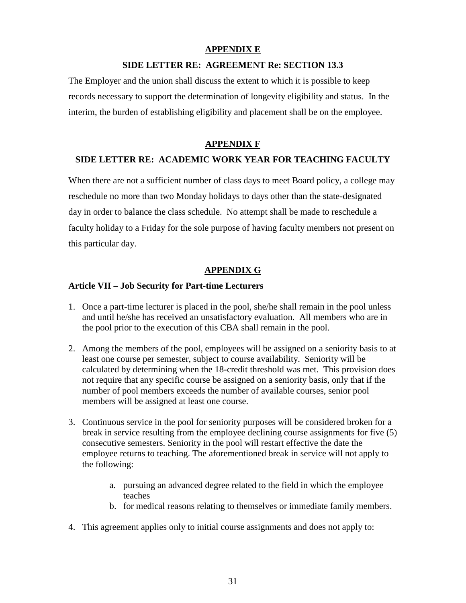#### **APPENDIX E**

#### **SIDE LETTER RE: AGREEMENT Re: SECTION 13.3**

The Employer and the union shall discuss the extent to which it is possible to keep records necessary to support the determination of longevity eligibility and status. In the interim, the burden of establishing eligibility and placement shall be on the employee.

#### **APPENDIX F**

#### **SIDE LETTER RE: ACADEMIC WORK YEAR FOR TEACHING FACULTY**

When there are not a sufficient number of class days to meet Board policy, a college may reschedule no more than two Monday holidays to days other than the state-designated day in order to balance the class schedule. No attempt shall be made to reschedule a faculty holiday to a Friday for the sole purpose of having faculty members not present on this particular day.

#### **APPENDIX G**

#### **Article VII – Job Security for Part-time Lecturers**

- 1. Once a part-time lecturer is placed in the pool, she/he shall remain in the pool unless and until he/she has received an unsatisfactory evaluation. All members who are in the pool prior to the execution of this CBA shall remain in the pool.
- 2. Among the members of the pool, employees will be assigned on a seniority basis to at least one course per semester, subject to course availability. Seniority will be calculated by determining when the 18-credit threshold was met. This provision does not require that any specific course be assigned on a seniority basis, only that if the number of pool members exceeds the number of available courses, senior pool members will be assigned at least one course.
- 3. Continuous service in the pool for seniority purposes will be considered broken for a break in service resulting from the employee declining course assignments for five (5) consecutive semesters. Seniority in the pool will restart effective the date the employee returns to teaching. The aforementioned break in service will not apply to the following:
	- a. pursuing an advanced degree related to the field in which the employee teaches
	- b. for medical reasons relating to themselves or immediate family members.
- 4. This agreement applies only to initial course assignments and does not apply to: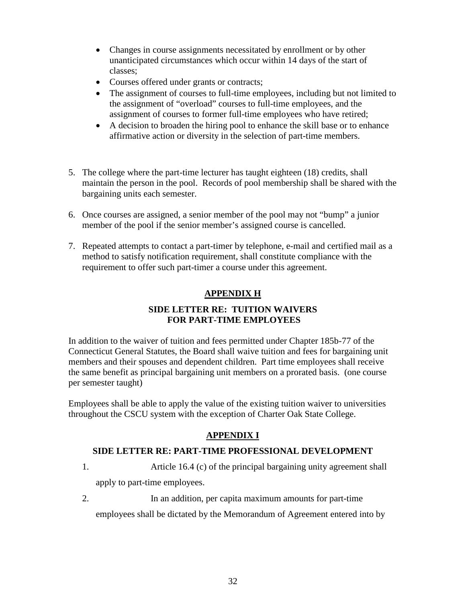- Changes in course assignments necessitated by enrollment or by other unanticipated circumstances which occur within 14 days of the start of classes;
- Courses offered under grants or contracts;
- The assignment of courses to full-time employees, including but not limited to the assignment of "overload" courses to full-time employees, and the assignment of courses to former full-time employees who have retired;
- A decision to broaden the hiring pool to enhance the skill base or to enhance affirmative action or diversity in the selection of part-time members.
- 5. The college where the part-time lecturer has taught eighteen (18) credits, shall maintain the person in the pool. Records of pool membership shall be shared with the bargaining units each semester.
- 6. Once courses are assigned, a senior member of the pool may not "bump" a junior member of the pool if the senior member's assigned course is cancelled.
- 7. Repeated attempts to contact a part-timer by telephone, e-mail and certified mail as a method to satisfy notification requirement, shall constitute compliance with the requirement to offer such part-timer a course under this agreement.

## **APPENDIX H**

### **SIDE LETTER RE: TUITION WAIVERS FOR PART-TIME EMPLOYEES**

In addition to the waiver of tuition and fees permitted under Chapter 185b-77 of the Connecticut General Statutes, the Board shall waive tuition and fees for bargaining unit members and their spouses and dependent children. Part time employees shall receive the same benefit as principal bargaining unit members on a prorated basis. (one course per semester taught)

Employees shall be able to apply the value of the existing tuition waiver to universities throughout the CSCU system with the exception of Charter Oak State College.

## **APPENDIX I**

#### **SIDE LETTER RE: PART-TIME PROFESSIONAL DEVELOPMENT**

- 1. Article 16.4 (c) of the principal bargaining unity agreement shall apply to part-time employees.
- 2. In an addition, per capita maximum amounts for part-time

employees shall be dictated by the Memorandum of Agreement entered into by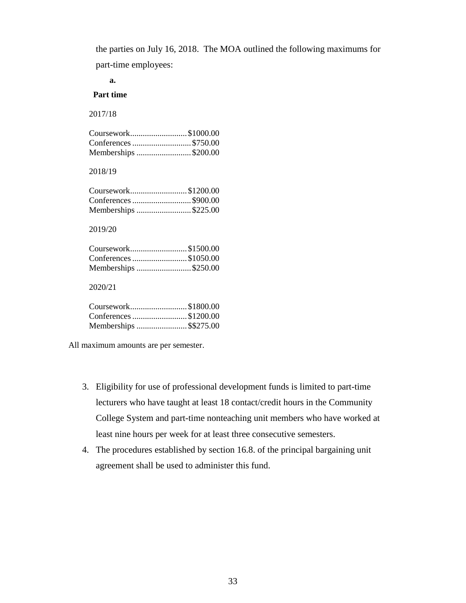the parties on July 16, 2018. The MOA outlined the following maximums for

part-time employees:

**a.**

#### **Part time**

2017/18

| Coursework\$1000.00  |  |
|----------------------|--|
|                      |  |
| Memberships \$200.00 |  |

#### 2018/19

| Coursework\$1200.00  |  |
|----------------------|--|
| Conferences \$900.00 |  |
| Memberships \$225.00 |  |

#### 2019/20

| Coursework\$1500.00   |  |
|-----------------------|--|
| Conferences \$1050.00 |  |
| Memberships \$250.00  |  |

#### 2020/21

| Coursework\$1800.00    |  |
|------------------------|--|
| Conferences \$1200.00  |  |
| Memberships \$\$275.00 |  |
|                        |  |

All maximum amounts are per semester.

- 3. Eligibility for use of professional development funds is limited to part-time lecturers who have taught at least 18 contact/credit hours in the Community College System and part-time nonteaching unit members who have worked at least nine hours per week for at least three consecutive semesters.
- 4. The procedures established by section 16.8. of the principal bargaining unit agreement shall be used to administer this fund.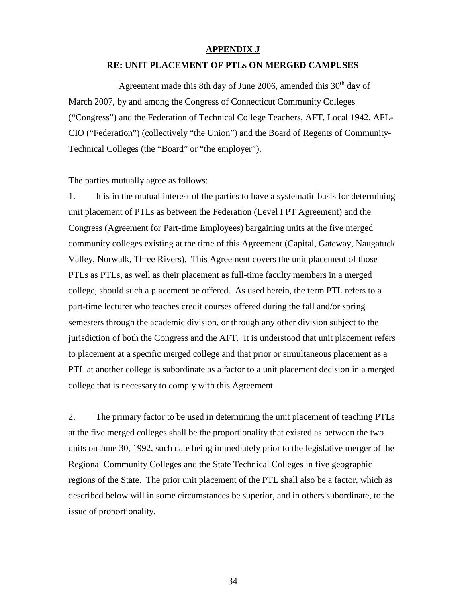#### **APPENDIX J**

#### **RE: UNIT PLACEMENT OF PTLs ON MERGED CAMPUSES**

Agreement made this 8th day of June 2006, amended this  $30<sup>th</sup>$  day of March 2007, by and among the Congress of Connecticut Community Colleges ("Congress") and the Federation of Technical College Teachers, AFT, Local 1942, AFL-CIO ("Federation") (collectively "the Union") and the Board of Regents of Community-Technical Colleges (the "Board" or "the employer").

The parties mutually agree as follows:

1. It is in the mutual interest of the parties to have a systematic basis for determining unit placement of PTLs as between the Federation (Level I PT Agreement) and the Congress (Agreement for Part-time Employees) bargaining units at the five merged community colleges existing at the time of this Agreement (Capital, Gateway, Naugatuck Valley, Norwalk, Three Rivers). This Agreement covers the unit placement of those PTLs as PTLs, as well as their placement as full-time faculty members in a merged college, should such a placement be offered. As used herein, the term PTL refers to a part-time lecturer who teaches credit courses offered during the fall and/or spring semesters through the academic division, or through any other division subject to the jurisdiction of both the Congress and the AFT. It is understood that unit placement refers to placement at a specific merged college and that prior or simultaneous placement as a PTL at another college is subordinate as a factor to a unit placement decision in a merged college that is necessary to comply with this Agreement.

2. The primary factor to be used in determining the unit placement of teaching PTLs at the five merged colleges shall be the proportionality that existed as between the two units on June 30, 1992, such date being immediately prior to the legislative merger of the Regional Community Colleges and the State Technical Colleges in five geographic regions of the State. The prior unit placement of the PTL shall also be a factor, which as described below will in some circumstances be superior, and in others subordinate, to the issue of proportionality.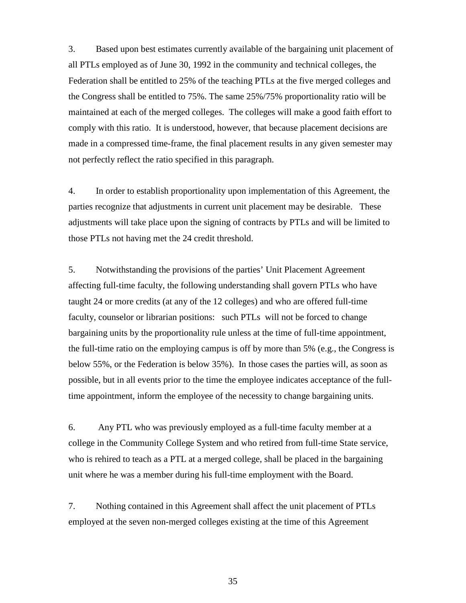3. Based upon best estimates currently available of the bargaining unit placement of all PTLs employed as of June 30, 1992 in the community and technical colleges, the Federation shall be entitled to 25% of the teaching PTLs at the five merged colleges and the Congress shall be entitled to 75%. The same 25%/75% proportionality ratio will be maintained at each of the merged colleges. The colleges will make a good faith effort to comply with this ratio. It is understood, however, that because placement decisions are made in a compressed time-frame, the final placement results in any given semester may not perfectly reflect the ratio specified in this paragraph.

4. In order to establish proportionality upon implementation of this Agreement, the parties recognize that adjustments in current unit placement may be desirable. These adjustments will take place upon the signing of contracts by PTLs and will be limited to those PTLs not having met the 24 credit threshold.

5. Notwithstanding the provisions of the parties' Unit Placement Agreement affecting full-time faculty, the following understanding shall govern PTLs who have taught 24 or more credits (at any of the 12 colleges) and who are offered full-time faculty, counselor or librarian positions: such PTLs will not be forced to change bargaining units by the proportionality rule unless at the time of full-time appointment, the full-time ratio on the employing campus is off by more than 5% (e.g., the Congress is below 55%, or the Federation is below 35%). In those cases the parties will, as soon as possible, but in all events prior to the time the employee indicates acceptance of the fulltime appointment, inform the employee of the necessity to change bargaining units.

6. Any PTL who was previously employed as a full-time faculty member at a college in the Community College System and who retired from full-time State service, who is rehired to teach as a PTL at a merged college, shall be placed in the bargaining unit where he was a member during his full-time employment with the Board.

7. Nothing contained in this Agreement shall affect the unit placement of PTLs employed at the seven non-merged colleges existing at the time of this Agreement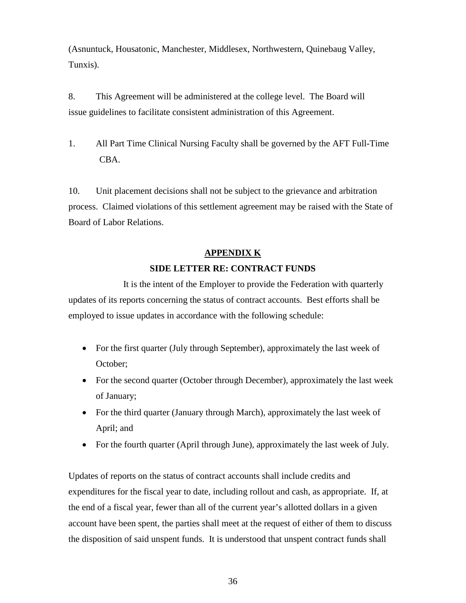(Asnuntuck, Housatonic, Manchester, Middlesex, Northwestern, Quinebaug Valley, Tunxis).

8. This Agreement will be administered at the college level. The Board will issue guidelines to facilitate consistent administration of this Agreement.

1. All Part Time Clinical Nursing Faculty shall be governed by the AFT Full-Time CBA.

10. Unit placement decisions shall not be subject to the grievance and arbitration process. Claimed violations of this settlement agreement may be raised with the State of Board of Labor Relations.

#### **APPENDIX K**

#### **SIDE LETTER RE: CONTRACT FUNDS**

It is the intent of the Employer to provide the Federation with quarterly updates of its reports concerning the status of contract accounts. Best efforts shall be employed to issue updates in accordance with the following schedule:

- For the first quarter (July through September), approximately the last week of October;
- For the second quarter (October through December), approximately the last week of January;
- For the third quarter (January through March), approximately the last week of April; and
- For the fourth quarter (April through June), approximately the last week of July.

Updates of reports on the status of contract accounts shall include credits and expenditures for the fiscal year to date, including rollout and cash, as appropriate. If, at the end of a fiscal year, fewer than all of the current year's allotted dollars in a given account have been spent, the parties shall meet at the request of either of them to discuss the disposition of said unspent funds. It is understood that unspent contract funds shall